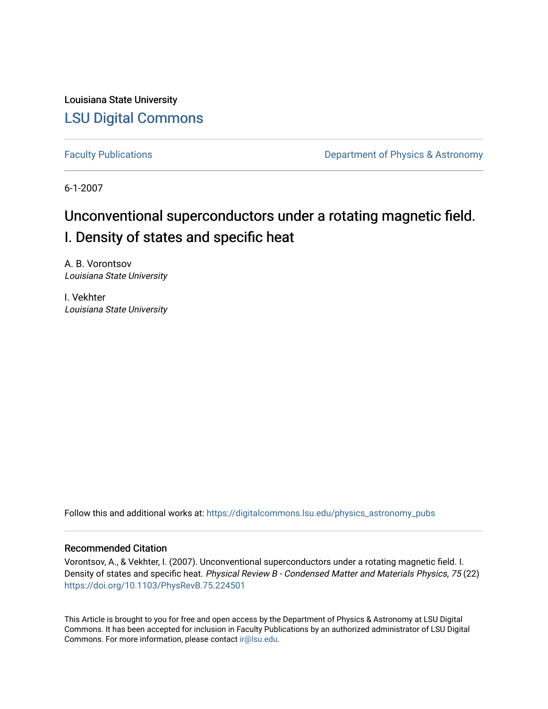Louisiana State University [LSU Digital Commons](https://digitalcommons.lsu.edu/)

[Faculty Publications](https://digitalcommons.lsu.edu/physics_astronomy_pubs) **Exercise 2 and Table 2 and Table 2 and Table 2 and Table 2 and Table 2 and Table 2 and Table 2 and Table 2 and Table 2 and Table 2 and Table 2 and Table 2 and Table 2 and Table 2 and Table 2 and Table** 

6-1-2007

# Unconventional superconductors under a rotating magnetic field. I. Density of states and specific heat

A. B. Vorontsov Louisiana State University

I. Vekhter Louisiana State University

Follow this and additional works at: [https://digitalcommons.lsu.edu/physics\\_astronomy\\_pubs](https://digitalcommons.lsu.edu/physics_astronomy_pubs?utm_source=digitalcommons.lsu.edu%2Fphysics_astronomy_pubs%2F5452&utm_medium=PDF&utm_campaign=PDFCoverPages) 

# Recommended Citation

Vorontsov, A., & Vekhter, I. (2007). Unconventional superconductors under a rotating magnetic field. I. Density of states and specific heat. Physical Review B - Condensed Matter and Materials Physics, 75 (22) <https://doi.org/10.1103/PhysRevB.75.224501>

This Article is brought to you for free and open access by the Department of Physics & Astronomy at LSU Digital Commons. It has been accepted for inclusion in Faculty Publications by an authorized administrator of LSU Digital Commons. For more information, please contact [ir@lsu.edu](mailto:ir@lsu.edu).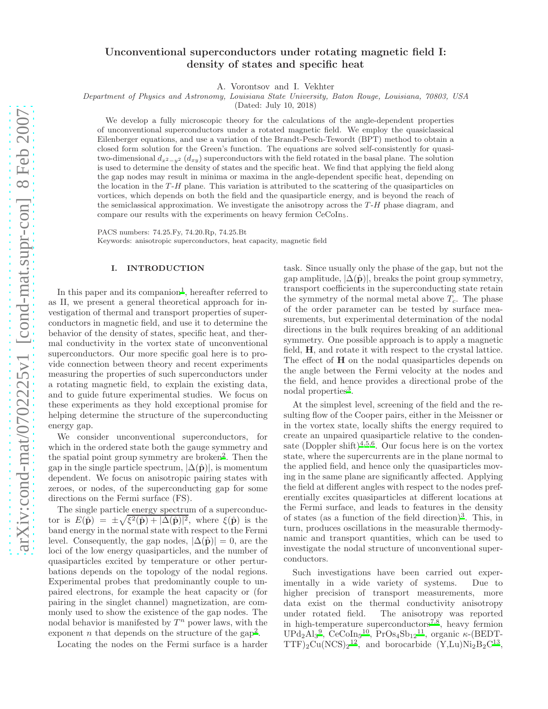# Unconventional superconductors under rotating magnetic field I: density of states and specific heat

A. Vorontsov and I. Vekhter

Department of Physics and Astronomy, Louisiana State University, Baton Rouge, Louisiana, 70803, USA

(Dated: July 10, 2018)

We develop a fully microscopic theory for the calculations of the angle-dependent properties of unconventional superconductors under a rotated magnetic field. We employ the quasiclassical Eilenberger equations, and use a variation of the Brandt-Pesch-Tewordt (BPT) method to obtain a closed form solution for the Green's function. The equations are solved self-consistently for quasitwo-dimensional  $d_{x^2-y^2}$   $(d_{xy})$  superconductors with the field rotated in the basal plane. The solution is used to determine the density of states and the specific heat. We find that applying the field along the gap nodes may result in minima or maxima in the angle-dependent specific heat, depending on the location in the  $T$ -H plane. This variation is attributed to the scattering of the quasiparticles on vortices, which depends on both the field and the quasiparticle energy, and is beyond the reach of the semiclassical approximation. We investigate the anisotropy across the  $T-H$  phase diagram, and compare our results with the experiments on heavy fermion CeCoIn5.

PACS numbers: 74.25.Fy, 74.20.Rp, 74.25.Bt Keywords: anisotropic superconductors, heat capacity, magnetic field

### I. INTRODUCTION

In this paper and its companion<sup>[1](#page-18-0)</sup>, hereafter referred to as II, we present a general theoretical approach for investigation of thermal and transport properties of superconductors in magnetic field, and use it to determine the behavior of the density of states, specific heat, and thermal conductivity in the vortex state of unconventional superconductors. Our more specific goal here is to provide connection between theory and recent experiments measuring the properties of such superconductors under a rotating magnetic field, to explain the existing data, and to guide future experimental studies. We focus on these experiments as they hold exceptional promise for helping determine the structure of the superconducting energy gap.

We consider unconventional superconductors, for which in the ordered state both the gauge symmetry and the spatial point group symmetry are broken<sup>[2](#page-18-1)</sup>. Then the gap in the single particle spectrum,  $|\Delta(\hat{\mathbf{p}})|$ , is momentum dependent. We focus on anisotropic pairing states with zeroes, or nodes, of the superconducting gap for some directions on the Fermi surface (FS).

The single particle energy spectrum of a superconductor is  $E(\hat{\mathbf{p}}) = \pm \sqrt{\xi^2(\hat{\mathbf{p}}) + |\Delta(\hat{\mathbf{p}})|^2}$ , where  $\xi(\hat{\mathbf{p}})$  is the band energy in the normal state with respect to the Fermi level. Consequently, the gap nodes,  $|\Delta(\hat{\mathbf{p}})| = 0$ , are the loci of the low energy quasiparticles, and the number of quasiparticles excited by temperature or other perturbations depends on the topology of the nodal regions. Experimental probes that predominantly couple to unpaired electrons, for example the heat capacity or (for pairing in the singlet channel) magnetization, are commonly used to show the existence of the gap nodes. The nodal behavior is manifested by  $T^n$  power laws, with the exponent *n* that depends on the structure of the  $\text{gap}^2$  $\text{gap}^2$ .

Locating the nodes on the Fermi surface is a harder

task. Since usually only the phase of the gap, but not the gap amplitude,  $|\Delta(\hat{\mathbf{p}})|$ , breaks the point group symmetry, transport coefficients in the superconducting state retain the symmetry of the normal metal above  $T_c$ . The phase of the order parameter can be tested by surface measurements, but experimental determination of the nodal directions in the bulk requires breaking of an additional symmetry. One possible approach is to apply a magnetic field, H, and rotate it with respect to the crystal lattice. The effect of **H** on the nodal quasiparticles depends on the angle between the Fermi velocity at the nodes and the field, and hence provides a directional probe of the nodal properties<sup>[3](#page-18-2)</sup>.

At the simplest level, screening of the field and the resulting flow of the Cooper pairs, either in the Meissner or in the vortex state, locally shifts the energy required to create an unpaired quasiparticle relative to the conden-sate (Doppler shift)<sup>[4](#page-18-3)[,5](#page-18-4)[,6](#page-18-5)</sup>. Our focus here is on the vortex state, where the supercurrents are in the plane normal to the applied field, and hence only the quasiparticles moving in the same plane are significantly affected. Applying the field at different angles with respect to the nodes preferentially excites quasiparticles at different locations at the Fermi surface, and leads to features in the density of states (as a function of the field direction)<sup>[3](#page-18-2)</sup>. This, in turn, produces oscillations in the measurable thermodynamic and transport quantities, which can be used to investigate the nodal structure of unconventional superconductors.

Such investigations have been carried out experimentally in a wide variety of systems. Due to higher precision of transport measurements, more data exist on the thermal conductivity anisotropy under rotated field. The anisotropy was reported in high-temperature superconductors<sup> $7,8$  $7,8$ </sup>, heavy fermion UPd<sub>2</sub>Al<sub>3</sub><sup>[9](#page-18-8)</sup>, CeCoIn<sub>5</sub><sup>[10](#page-18-9)</sup>, PrOs<sub>4</sub>Sb<sub>12</sub><sup>[11](#page-18-10)</sup>, organic  $\kappa$ -(BEDT-TTF)<sub>2</sub>Cu(NCS)<sub>2</sub><sup>[12](#page-18-11)</sup>, and borocarbide (Y,Lu)Ni<sub>2</sub>B<sub>2</sub>C<sup>[13](#page-18-12)</sup>,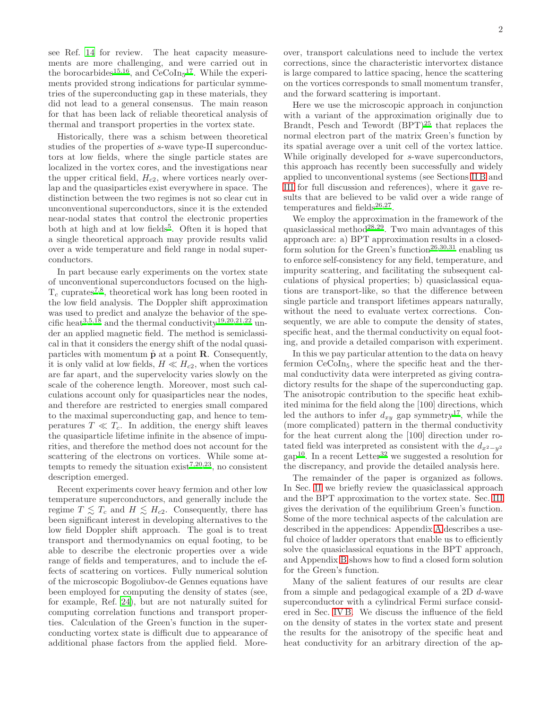see Ref. [14](#page-18-13) for review. The heat capacity measurements are more challenging, and were carried out in the borocarbides<sup>[15](#page-18-14)[,16](#page-18-15)</sup>, and  $CeCoIn<sub>5</sub><sup>17</sup>$  $CeCoIn<sub>5</sub><sup>17</sup>$  $CeCoIn<sub>5</sub><sup>17</sup>$ . While the experiments provided strong indications for particular symmetries of the superconducting gap in these materials, they did not lead to a general consensus. The main reason for that has been lack of reliable theoretical analysis of thermal and transport properties in the vortex state.

Historically, there was a schism between theoretical studies of the properties of s-wave type-II superconductors at low fields, where the single particle states are localized in the vortex cores, and the investigations near the upper critical field,  $H_{c2}$ , where vortices nearly overlap and the quasiparticles exist everywhere in space. The distinction between the two regimes is not so clear cut in unconventional superconductors, since it is the extended near-nodal states that control the electronic properties both at high and at low fields<sup>[5](#page-18-4)</sup>. Often it is hoped that a single theoretical approach may provide results valid over a wide temperature and field range in nodal superconductors.

In part because early experiments on the vortex state of unconventional superconductors focused on the high- $T_c$  cuprates<sup>[7](#page-18-6)[,8](#page-18-7)</sup>, theoretical work has long been rooted in the low field analysis. The Doppler shift approximation was used to predict and analyze the behavior of the spe-cific heat<sup>[3](#page-18-2)[,5](#page-18-4)[,18](#page-18-17)</sup> and the thermal conductivity<sup>[19](#page-18-18)[,20](#page-18-19)[,21](#page-18-20)[,22](#page-18-21)</sup> under an applied magnetic field. The method is semiclassical in that it considers the energy shift of the nodal quasiparticles with momentum  $\hat{\mathbf{p}}$  at a point **R**. Consequently, it is only valid at low fields,  $H \ll H_{c2}$ , when the vortices are far apart, and the supervelocity varies slowly on the scale of the coherence length. Moreover, most such calculations account only for quasiparticles near the nodes, and therefore are restricted to energies small compared to the maximal superconducting gap, and hence to temperatures  $T \ll T_c$ . In addition, the energy shift leaves the quasiparticle lifetime infinite in the absence of impurities, and therefore the method does not account for the scattering of the electrons on vortices. While some at-tempts to remedy the situation exist<sup>[7](#page-18-6)[,20](#page-18-19)[,23](#page-18-22)</sup>, no consistent description emerged.

Recent experiments cover heavy fermion and other low temperature superconductors, and generally include the regime  $T \leq T_c$  and  $H \leq H_{c2}$ . Consequently, there has been significant interest in developing alternatives to the low field Doppler shift approach. The goal is to treat transport and thermodynamics on equal footing, to be able to describe the electronic properties over a wide range of fields and temperatures, and to include the effects of scattering on vortices. Fully numerical solution of the microscopic Bogoliubov-de Gennes equations have been employed for computing the density of states (see, for example, Ref. [24\)](#page-18-23), but are not naturally suited for computing correlation functions and transport properties. Calculation of the Green's function in the superconducting vortex state is difficult due to appearance of additional phase factors from the applied field. Moreover, transport calculations need to include the vertex corrections, since the characteristic intervortex distance is large compared to lattice spacing, hence the scattering on the vortices corresponds to small momentum transfer, and the forward scattering is important.

Here we use the microscopic approach in conjunction with a variant of the approximation originally due to Brandt, Pesch and Tewordt  $(BPT)^{25}$  $(BPT)^{25}$  $(BPT)^{25}$  that replaces the normal electron part of the matrix Green's function by its spatial average over a unit cell of the vortex lattice. While originally developed for s-wave superconductors, this approach has recently been successfully and widely applied to unconventional systems (see Sections [II B](#page-4-0) and [III](#page-5-0) for full discussion and references), where it gave results that are believed to be valid over a wide range of temperatures and fields $26,27$  $26,27$ .

We employ the approximation in the framework of the quasiclassical method<sup>[28](#page-18-27)[,29](#page-18-28)</sup>. Two main advantages of this approach are: a) BPT approximation results in a closed-form solution for the Green's function<sup>[26](#page-18-25)[,30](#page-18-29)[,31](#page-18-30)</sup> enabling us to enforce self-consistency for any field, temperature, and impurity scattering, and facilitating the subsequent calculations of physical properties; b) quasiclassical equations are transport-like, so that the difference between single particle and transport lifetimes appears naturally, without the need to evaluate vertex corrections. Consequently, we are able to compute the density of states, specific heat, and the thermal conductivity on equal footing, and provide a detailed comparison with experiment.

In this we pay particular attention to the data on heavy fermion CeCoIn5, where the specific heat and the thermal conductivity data were interpreted as giving contradictory results for the shape of the superconducting gap. The anisotropic contribution to the specific heat exhibited minima for the field along the [100] directions, which led the authors to infer  $d_{xy}$  gap symmetry<sup>[17](#page-18-16)</sup>, while the (more complicated) pattern in the thermal conductivity for the heat current along the [100] direction under rotated field was interpreted as consistent with the  $d_{x^2-y^2}$  $\text{gap}^{10}$  $\text{gap}^{10}$  $\text{gap}^{10}$ . In a recent Letter<sup>[32](#page-18-31)</sup> we suggested a resolution for the discrepancy, and provide the detailed analysis here.

The remainder of the paper is organized as follows. In Sec. [II](#page-3-0) we briefly review the quasiclassical approach and the BPT approximation to the vortex state. Sec. [III](#page-5-0) gives the derivation of the equilibrium Green's function. Some of the more technical aspects of the calculation are described in the appendices: Appendix [A](#page-15-0) describes a useful choice of ladder operators that enable us to efficiently solve the quasiclassical equations in the BPT approach, and Appendix [B](#page-16-0) shows how to find a closed form solution for the Green's function.

Many of the salient features of our results are clear from a simple and pedagogical example of a 2D d-wave superconductor with a cylindrical Fermi surface considered in Sec. [IV B.](#page-8-0) We discuss the influence of the field on the density of states in the vortex state and present the results for the anisotropy of the specific heat and heat conductivity for an arbitrary direction of the ap-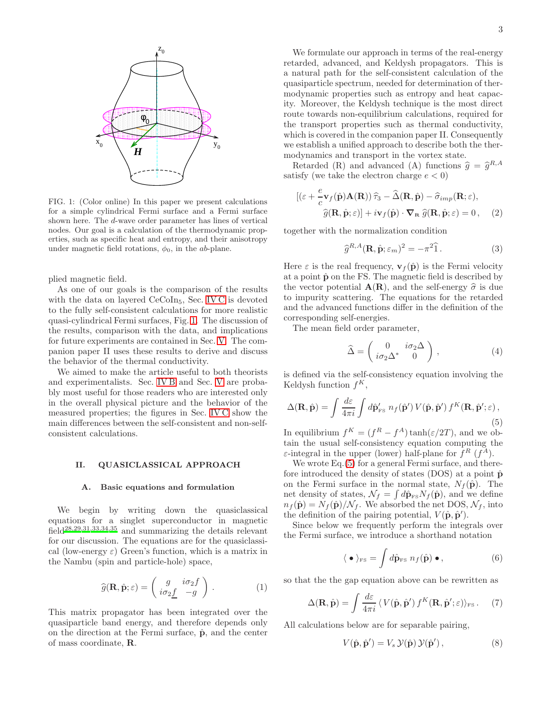

<span id="page-3-1"></span>FIG. 1: (Color online) In this paper we present calculations for a simple cylindrical Fermi surface and a Fermi surface shown here. The d-wave order parameter has lines of vertical nodes. Our goal is a calculation of the thermodynamic properties, such as specific heat and entropy, and their anisotropy under magnetic field rotations,  $\phi_0$ , in the *ab*-plane.

plied magnetic field.

As one of our goals is the comparison of the results with the data on layered CeCoIn<sub>5</sub>, Sec. [IV C](#page-11-0) is devoted to the fully self-consistent calculations for more realistic quasi-cylindrical Fermi surfaces, Fig. [1.](#page-3-1) The discussion of the results, comparison with the data, and implications for future experiments are contained in Sec. [V.](#page-14-0) The companion paper II uses these results to derive and discuss the behavior of the thermal conductivity.

We aimed to make the article useful to both theorists and experimentalists. Sec. [IV B](#page-8-0) and Sec. [V](#page-14-0) are probably most useful for those readers who are interested only in the overall physical picture and the behavior of the measured properties; the figures in Sec. [IV C](#page-11-0) show the main differences between the self-consistent and non-selfconsistent calculations.

#### <span id="page-3-0"></span>II. QUASICLASSICAL APPROACH

## A. Basic equations and formulation

We begin by writing down the quasiclassical equations for a singlet superconductor in magnetic field[28](#page-18-27)[,29](#page-18-28)[,31](#page-18-30)[,33](#page-18-32)[,34](#page-18-33)[,35](#page-18-34) and summarizing the details relevant for our discussion. The equations are for the quasiclassical (low-energy  $\varepsilon$ ) Green's function, which is a matrix in the Nambu (spin and particle-hole) space,

$$
\widehat{g}(\mathbf{R}, \widehat{\mathbf{p}}; \varepsilon) = \begin{pmatrix} g & i\sigma_2 f \\ i\sigma_2 \underline{f} & -g \end{pmatrix} . \tag{1}
$$

This matrix propagator has been integrated over the quasiparticle band energy, and therefore depends only on the direction at the Fermi surface,  $\hat{p}$ , and the center of mass coordinate, R.

We formulate our approach in terms of the real-energy retarded, advanced, and Keldysh propagators. This is a natural path for the self-consistent calculation of the quasiparticle spectrum, needed for determination of thermodynamic properties such as entropy and heat capacity. Moreover, the Keldysh technique is the most direct route towards non-equilibrium calculations, required for the transport properties such as thermal conductivity, which is covered in the companion paper II. Consequently we establish a unified approach to describe both the thermodynamics and transport in the vortex state.

Retarded (R) and advanced (A) functions  $\hat{g} = \hat{g}^{R,A}$ satisfy (we take the electron charge  $e < 0$ )

<span id="page-3-3"></span>
$$
[(\varepsilon + \frac{e}{c}\mathbf{v}_f(\hat{\mathbf{p}})\mathbf{A}(\mathbf{R}))\hat{\tau}_3 - \hat{\Delta}(\mathbf{R}, \hat{\mathbf{p}}) - \hat{\sigma}_{imp}(\mathbf{R}; \varepsilon),
$$
  

$$
\hat{g}(\mathbf{R}, \hat{\mathbf{p}}; \varepsilon)] + i\mathbf{v}_f(\hat{\mathbf{p}}) \cdot \nabla_{\mathbf{R}} \hat{g}(\mathbf{R}, \hat{\mathbf{p}}; \varepsilon) = 0, \quad (2)
$$

together with the normalization condition

<span id="page-3-4"></span>
$$
\hat{g}^{R,A}(\mathbf{R}, \hat{\mathbf{p}}; \varepsilon_m)^2 = -\pi^2 \hat{1}.
$$
 (3)

Here  $\varepsilon$  is the real frequency,  $\mathbf{v}_f(\hat{\mathbf{p}})$  is the Fermi velocity at a point  $\hat{\mathbf{p}}$  on the FS. The magnetic field is described by the vector potential  $A(R)$ , and the self-energy  $\hat{\sigma}$  is due to impurity scattering. The equations for the retarded and the advanced functions differ in the definition of the corresponding self-energies.

The mean field order parameter,

$$
\widehat{\Delta} = \begin{pmatrix} 0 & i\sigma_2 \Delta \\ i\sigma_2 \Delta^* & 0 \end{pmatrix}, \qquad (4)
$$

is defined via the self-consistency equation involving the Keldysh function  $f^K$ ,

<span id="page-3-2"></span>
$$
\Delta(\mathbf{R}, \hat{\mathbf{p}}) = \int \frac{d\varepsilon}{4\pi i} \int d\hat{\mathbf{p}}'_{\text{FS}} \ n_f(\hat{\mathbf{p}}') V(\hat{\mathbf{p}}, \hat{\mathbf{p}}') f^K(\mathbf{R}, \hat{\mathbf{p}}'; \varepsilon), \tag{5}
$$

In equilibrium  $f^K = (f^R - f^A) \tanh(\varepsilon/2T)$ , and we obtain the usual self-consistency equation computing the  $\varepsilon$ -integral in the upper (lower) half-plane for  $f^R(f^A)$ .

We wrote Eq.  $(5)$  for a general Fermi surface, and therefore introduced the density of states  $(DOS)$  at a point  $\hat{\mathbf{p}}$ on the Fermi surface in the normal state,  $N_f(\hat{\mathbf{p}})$ . The net density of states,  $\mathcal{N}_f = \int d\hat{\mathbf{p}}_{FS} N_f(\hat{\mathbf{p}})$ , and we define  $n_f(\hat{\mathbf{p}}) = N_f(\hat{\mathbf{p}})/\mathcal{N}_f$ . We absorbed the net DOS,  $\mathcal{N}_f$ , into the definition of the pairing potential,  $V(\hat{\mathbf{p}}, \hat{\mathbf{p}}')$ .

Since below we frequently perform the integrals over the Fermi surface, we introduce a shorthand notation

$$
\langle \bullet \rangle_{\text{FS}} = \int d\hat{\mathbf{p}}_{\text{FS}} \; n_f(\hat{\mathbf{p}}) \bullet,\tag{6}
$$

so that the the gap equation above can be rewritten as

$$
\Delta(\mathbf{R}, \hat{\mathbf{p}}) = \int \frac{d\varepsilon}{4\pi i} \left\langle V(\hat{\mathbf{p}}, \hat{\mathbf{p}}') f^K(\mathbf{R}, \hat{\mathbf{p}}'; \varepsilon) \right\rangle_{\text{FS}}. \tag{7}
$$

All calculations below are for separable pairing,

$$
V(\hat{\mathbf{p}}, \hat{\mathbf{p}}') = V_s \mathcal{Y}(\hat{\mathbf{p}}) \mathcal{Y}(\hat{\mathbf{p}}'),\tag{8}
$$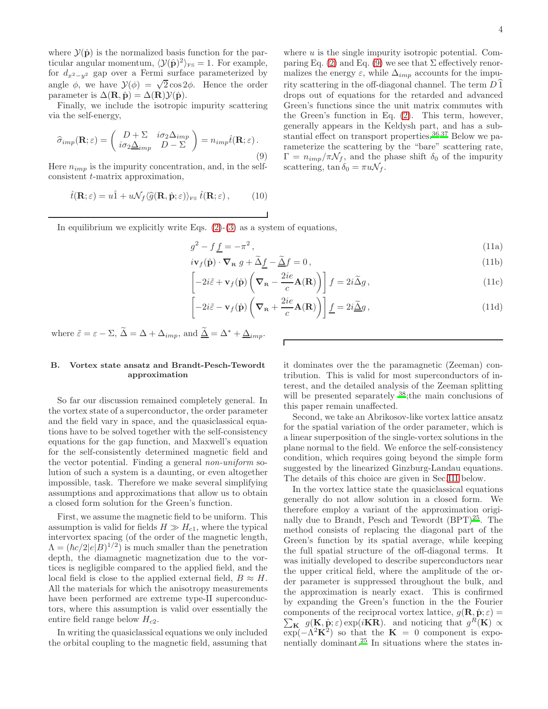where  $\mathcal{Y}(\hat{\mathbf{p}})$  is the normalized basis function for the particular angular momentum,  $\langle \mathcal{Y}(\hat{\mathbf{p}})^2 \rangle_{\text{FS}} = 1$ . For example, for  $d_{x^2-y^2}$  gap over a Fermi surface parameterized by angle  $\phi$ , we have  $\mathcal{Y}(\phi) = \sqrt{2} \cos 2\phi$ . Hence the order parameter is  $\Delta(\mathbf{R}, \hat{\mathbf{p}}) = \Delta(\mathbf{R}) \mathcal{Y}(\hat{\mathbf{p}})$ .

Finally, we include the isotropic impurity scattering via the self-energy,

<span id="page-4-1"></span>
$$
\widehat{\sigma}_{imp}(\mathbf{R};\varepsilon) = \begin{pmatrix} D + \Sigma & i\sigma_2 \Delta_{imp} \\ i\sigma_2 \underline{\Delta}_{imp} & D - \Sigma \end{pmatrix} = n_{imp}\widehat{t}(\mathbf{R};\varepsilon).
$$
\n(9)

Here  $n_{imp}$  is the impurity concentration, and, in the selfconsistent t-matrix approximation,

<span id="page-4-3"></span>
$$
\hat{t}(\mathbf{R};\varepsilon) = u\hat{1} + u\mathcal{N}_f\langle\hat{g}(\mathbf{R}, \hat{\mathbf{p}}; \varepsilon)\rangle_{\text{FS}} \hat{t}(\mathbf{R}; \varepsilon), \quad (10)
$$

where  $u$  is the single impurity isotropic potential. Com-paring Eq. [\(2\)](#page-3-3) and Eq. [\(9\)](#page-4-1) we see that  $\Sigma$  effectively renormalizes the energy  $\varepsilon$ , while  $\Delta_{imp}$  accounts for the impurity scattering in the off-diagonal channel. The term  $D\bar{1}$ drops out of equations for the retarded and advanced Green's functions since the unit matrix commutes with the Green's function in Eq. [\(2\)](#page-3-3). This term, however, generally appears in the Keldysh part, and has a sub-stantial effect on transport properties.<sup>[36](#page-18-35)[,37](#page-18-36)</sup> Below we parameterize the scattering by the "bare" scattering rate,  $\Gamma = n_{imp}/\pi \mathcal{N}_f$ , and the phase shift  $\delta_0$  of the impurity scattering,  $\tan \delta_0 = \pi u \mathcal{N}_f$ .

In equilibrium we explicitly write Eqs.  $(2)-(3)$  $(2)-(3)$  as a system of equations,

 $\sqrt{ }$ 

<span id="page-4-2"></span>
$$
g^2 - f \underline{f} = -\pi^2 \,,\tag{11a}
$$

$$
i\mathbf{v}_f(\hat{\mathbf{p}}) \cdot \nabla_{\mathbf{R}} g + \tilde{\Delta} \underline{f} - \tilde{\Delta} f = 0,
$$
\n(11b)\n
$$
\begin{bmatrix}\n\vdots & \ddots & \ddots \\
\vdots & \ddots & \ddots & \ddots\n\end{bmatrix}
$$

$$
-2i\tilde{\varepsilon} + \mathbf{v}_f(\hat{\mathbf{p}}) \left( \mathbf{\nabla}_{\mathbf{R}} - \frac{2ie}{c} \mathbf{A}(\mathbf{R}) \right) \right] f = 2i \tilde{\Delta} g, \qquad (11c)
$$

$$
-2i\tilde{\varepsilon} - \mathbf{v}_f(\hat{\mathbf{p}}) \left( \nabla_{\mathbf{R}} + \frac{2ie}{c} \mathbf{A}(\mathbf{R}) \right) \underline{f} = 2i \underline{\tilde{\Delta}} g, \qquad (11d)
$$

where  $\tilde{\varepsilon} = \varepsilon - \Sigma$ ,  $\tilde{\Delta} = \Delta + \Delta_{imp}$ , and  $\tilde{\Delta} = \Delta^* + \Delta_{imp}$ .

# <span id="page-4-0"></span>B. Vortex state ansatz and Brandt-Pesch-Tewordt approximation

So far our discussion remained completely general. In the vortex state of a superconductor, the order parameter and the field vary in space, and the quasiclassical equations have to be solved together with the self-consistency equations for the gap function, and Maxwell's equation for the self-consistently determined magnetic field and the vector potential. Finding a general non-uniform solution of such a system is a daunting, or even altogether impossible, task. Therefore we make several simplifying assumptions and approximations that allow us to obtain a closed form solution for the Green's function.

First, we assume the magnetic field to be uniform. This assumption is valid for fields  $H \gg H_{c1}$ , where the typical intervortex spacing (of the order of the magnetic length,  $\Lambda = (\hbar c/2|e|B)^{1/2})$  is much smaller than the penetration depth, the diamagnetic magnetization due to the vortices is negligible compared to the applied field, and the local field is close to the applied external field,  $B \approx H$ . All the materials for which the anisotropy measurements have been performed are extreme type-II superconductors, where this assumption is valid over essentially the entire field range below  $H_{c2}$ .

In writing the quasiclassical equations we only included the orbital coupling to the magnetic field, assuming that it dominates over the the paramagnetic (Zeeman) contribution. This is valid for most superconductors of interest, and the detailed analysis of the Zeeman splitting will be presented separately <sup>[38](#page-18-37)</sup>; the main conclusions of this paper remain unaffected.

Second, we take an Abrikosov-like vortex lattice ansatz for the spatial variation of the order parameter, which is a linear superposition of the single-vortex solutions in the plane normal to the field. We enforce the self-consistency condition, which requires going beyond the simple form suggested by the linearized Ginzburg-Landau equations. The details of this choice are given in Sec[.III](#page-5-0) below.

In the vortex lattice state the quasiclassical equations generally do not allow solution in a closed form. We therefore employ a variant of the approximation originally due to Brandt, Pesch and Tewordt  $(BPT)^{25}$  $(BPT)^{25}$  $(BPT)^{25}$ . The method consists of replacing the diagonal part of the Green's function by its spatial average, while keeping the full spatial structure of the off-diagonal terms. It was initially developed to describe superconductors near the upper critical field, where the amplitude of the order parameter is suppressed throughout the bulk, and the approximation is nearly exact. This is confirmed by expanding the Green's function in the the Fourier  $\sum_{\mathbf{K}} g(\mathbf{K}, \hat{\mathbf{p}}; \varepsilon) \exp(i\mathbf{K}\mathbf{R})$ . and noticing that  $g^R(\mathbf{K}) \propto$ components of the reciprocal vortex lattice,  $g(\mathbf{R}, \hat{\mathbf{p}}; \varepsilon) =$  $\exp(-\Lambda^2 \mathbf{K}^2)$  so that the  $\mathbf{K} = 0$  component is expo-nentially dominant.<sup>[25](#page-18-24)</sup> In situations where the states in-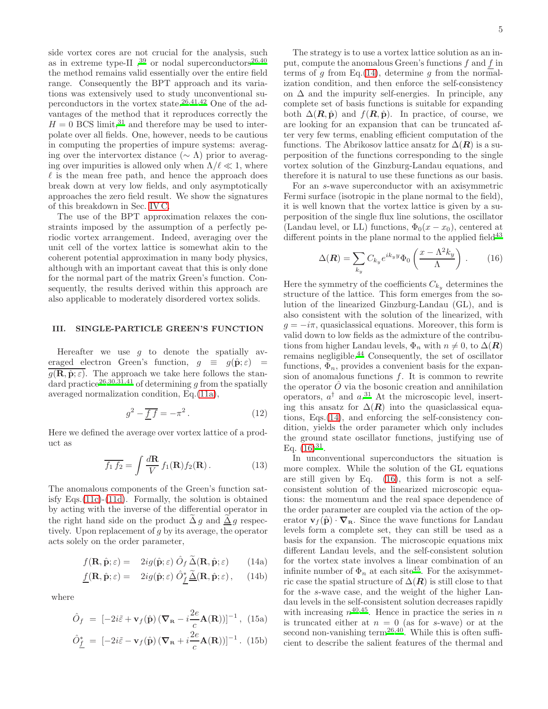side vortex cores are not crucial for the analysis, such as in extreme type-II  $,^{39}$  $,^{39}$  $,^{39}$  or nodal superconductors<sup>[26,](#page-18-25)[40](#page-18-39)</sup> the method remains valid essentially over the entire field range. Consequently the BPT approach and its variations was extensively used to study unconventional superconductors in the vortex state.[26](#page-18-25)[,41](#page-18-40)[,42](#page-18-41) One of the advantages of the method that it reproduces correctly the  $H = 0$  BCS limit,<sup>[31](#page-18-30)</sup> and therefore may be used to interpolate over all fields. One, however, needs to be cautious in computing the properties of impure systems: averaging over the intervortex distance ( $\sim \Lambda$ ) prior to averaging over impurities is allowed only when  $\Lambda/\ell \ll 1$ , where  $\ell$  is the mean free path, and hence the approach does break down at very low fields, and only asymptotically approaches the zero field result. We show the signatures of this breakdown in Sec. [IV C.](#page-11-0)

The use of the BPT approximation relaxes the constraints imposed by the assumption of a perfectly periodic vortex arrangement. Indeed, averaging over the unit cell of the vortex lattice is somewhat akin to the coherent potential approximation in many body physics, although with an important caveat that this is only done for the normal part of the matrix Green's function. Consequently, the results derived within this approach are also applicable to moderately disordered vortex solids.

# <span id="page-5-0"></span>III. SINGLE-PARTICLE GREEN'S FUNCTION

Hereafter we use  $g$  to denote the spatially averaged electron Green's function,  $g \equiv g(\hat{\mathbf{p}}; \varepsilon) =$  $g(\mathbf{R}, \hat{\mathbf{p}}; \varepsilon)$ . The approach we take here follows the stan-dard practice<sup>[26](#page-18-25)[,30](#page-18-29)[,31](#page-18-30)[,41](#page-18-40)</sup> of determining g from the spatially averaged normalization condition, Eq.[\(11a\)](#page-4-2),

$$
g^2 - \overline{f}\,\overline{f} = -\pi^2. \tag{12}
$$

Here we defined the average over vortex lattice of a product as

$$
\overline{f_1 f_2} = \int \frac{d\mathbf{R}}{V} f_1(\mathbf{R}) f_2(\mathbf{R}). \tag{13}
$$

The anomalous components of the Green's function satisfy Eqs.[\(11c\)](#page-4-2)-[\(11d\)](#page-4-2). Formally, the solution is obtained by acting with the inverse of the differential operator in the right hand side on the product  $\Delta g$  and  $\Delta g$  respectively. Upon replacement of g by its average, the operator acts solely on the order parameter,

<span id="page-5-1"></span>
$$
f(\mathbf{R}, \hat{\mathbf{p}}; \varepsilon) = 2ig(\hat{\mathbf{p}}; \varepsilon) \hat{O}_f \, \tilde{\Delta}(\mathbf{R}, \hat{\mathbf{p}}; \varepsilon) \qquad (14a)
$$

$$
\underline{f}(\mathbf{R}, \hat{\mathbf{p}}; \varepsilon) = 2ig(\hat{\mathbf{p}}; \varepsilon) \; \hat{O}_{\underline{f}}^* \underline{\tilde{\Delta}}(\mathbf{R}, \hat{\mathbf{p}}; \varepsilon) \,, \quad (14b)
$$

where

<span id="page-5-3"></span>
$$
\hat{O}_f = [-2i\tilde{\varepsilon} + \mathbf{v}_f(\hat{\mathbf{p}}) (\nabla_{\mathbf{R}} - i\frac{2e}{c} \mathbf{A}(\mathbf{R}))]^{-1}, (15a)
$$

$$
\hat{O}_{\underline{f}}^* = [-2i\tilde{\varepsilon} - \mathbf{v}_f(\hat{\mathbf{p}}) (\nabla_{\mathbf{R}} + i\frac{2e}{c} \mathbf{A}(\mathbf{R}))]^{-1}.
$$
 (15b)

The strategy is to use a vortex lattice solution as an input, compute the anomalous Green's functions  $f$  and  $f$  in terms of g from Eq.[\(14\)](#page-5-1), determine g from the normalization condition, and then enforce the self-consistency on  $\Delta$  and the impurity self-energies. In principle, any complete set of basis functions is suitable for expanding both  $\Delta(R, \hat{\mathbf{p}})$  and  $f(R, \hat{\mathbf{p}})$ . In practice, of course, we are looking for an expansion that can be truncated after very few terms, enabling efficient computation of the functions. The Abrikosov lattice ansatz for  $\Delta(R)$  is a superposition of the functions corresponding to the single vortex solution of the Ginzburg-Landau equations, and therefore it is natural to use these functions as our basis.

For an s-wave superconductor with an axisymmetric Fermi surface (isotropic in the plane normal to the field), it is well known that the vortex lattice is given by a superposition of the single flux line solutions, the oscillator (Landau level, or LL) functions,  $\Phi_0(x-x_0)$ , centered at different points in the plane normal to the applied field $43$ 

<span id="page-5-2"></span>
$$
\Delta(\boldsymbol{R}) = \sum_{k_y} C_{k_y} e^{ik_y y} \Phi_0 \left( \frac{x - \Lambda^2 k_y}{\Lambda} \right). \tag{16}
$$

Here the symmetry of the coefficients  $C_{k_y}$  determines the structure of the lattice. This form emerges from the solution of the linearized Ginzburg-Landau (GL), and is also consistent with the solution of the linearized, with  $g = -i\pi$ , quasiclassical equations. Moreover, this form is valid down to low fields as the admixture of the contributions from higher Landau levels,  $\Phi_n$  with  $n \neq 0$ , to  $\Delta(\mathbf{R})$ remains negligible.[44](#page-18-43) Consequently, the set of oscillator functions,  $\Phi_n$ , provides a convenient basis for the expansion of anomalous functions  $f$ . It is common to rewrite the operator  $\hat{O}$  via the bosonic creation and annihilation operators,  $a^{\dagger}$  and  $a^{31}$  $a^{31}$  $a^{31}$ . At the microscopic level, inserting this ansatz for  $\Delta(R)$  into the quasiclassical equations, Eqs.[\(14\)](#page-5-1), and enforcing the self-consistency condition, yields the order parameter which only includes the ground state oscillator functions, justifying use of Eq.  $(16)^{31}$  $(16)^{31}$  $(16)^{31}$ .

In unconventional superconductors the situation is more complex. While the solution of the GL equations are still given by Eq. [\(16\)](#page-5-2), this form is not a selfconsistent solution of the linearized microscopic equations: the momentum and the real space dependence of the order parameter are coupled via the action of the operator  $\mathbf{v}_f(\hat{\mathbf{p}}) \cdot \nabla_{\mathbf{R}}$ . Since the wave functions for Landau levels form a complete set, they can still be used as a basis for the expansion. The microscopic equations mix different Landau levels, and the self-consistent solution for the vortex state involves a linear combination of an infinite number of  $\Phi_n$  at each site<sup>[45](#page-18-44)</sup>. For the axisymmetric case the spatial structure of  $\Delta(R)$  is still close to that for the s-wave case, and the weight of the higher Landau levels in the self-consistent solution decreases rapidly with increasing  $n^{40,45}$  $n^{40,45}$  $n^{40,45}$  $n^{40,45}$ . Hence in practice the series in n is truncated either at  $n = 0$  (as for s-wave) or at the second non-vanishing term<sup>[26](#page-18-25)[,40](#page-18-39)</sup>. While this is often sufficient to describe the salient features of the thermal and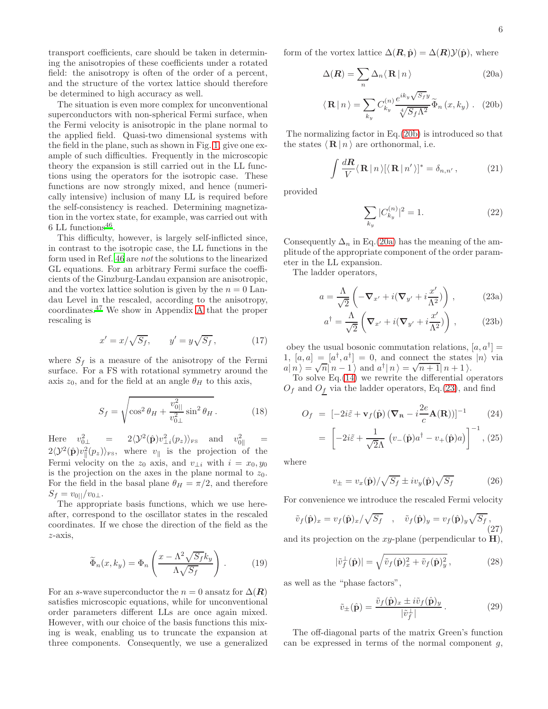transport coefficients, care should be taken in determining the anisotropies of these coefficients under a rotated field: the anisotropy is often of the order of a percent, and the structure of the vortex lattice should therefore be determined to high accuracy as well.

The situation is even more complex for unconventional superconductors with non-spherical Fermi surface, when the Fermi velocity is anisotropic in the plane normal to the applied field. Quasi-two dimensional systems with the field in the plane, such as shown in Fig. [1,](#page-3-1) give one example of such difficulties. Frequently in the microscopic theory the expansion is still carried out in the LL functions using the operators for the isotropic case. These functions are now strongly mixed, and hence (numerically intensive) inclusion of many LL is required before the self-consistency is reached. Determining magnetization in the vortex state, for example, was carried out with  $6$  LL functions<sup>[46](#page-18-45)</sup>.

This difficulty, however, is largely self-inflicted since, in contrast to the isotropic case, the LL functions in the form used in Ref. [46](#page-18-45) are not the solutions to the linearized GL equations. For an arbitrary Fermi surface the coefficients of the Ginzburg-Landau expansion are anisotropic, and the vortex lattice solution is given by the  $n = 0$  Landau Level in the rescaled, according to the anisotropy, coordinates.[47](#page-18-46) We show in Appendix [A](#page-15-0) that the proper rescaling is

<span id="page-6-2"></span>
$$
x' = x/\sqrt{S_f}, \qquad y' = y\sqrt{S_f}, \qquad (17)
$$

where  $S_f$  is a measure of the anisotropy of the Fermi surface. For a FS with rotational symmetry around the axis  $z_0$ , and for the field at an angle  $\theta_H$  to this axis,

$$
S_f = \sqrt{\cos^2 \theta_H + \frac{v_{0||}^2}{v_{0\perp}^2} \sin^2 \theta_H}.
$$
 (18)

Here  $v_{0\perp}^2 = 2\langle \mathcal{Y}^2(\hat{\mathbf{p}})v_{\perp i}^2(p_z)\rangle_{\text{FS}}$  and  $v_{0\parallel}^2 =$  $2\langle \mathcal{Y}^2(\hat{\mathbf{p}})v_{\parallel}^2(p_z)\rangle_{\text{FS}}$ , where  $v_{\parallel}$  is the projection of the Fermi velocity on the  $z_0$  axis, and  $v_{\perp i}$  with  $i = x_0, y_0$ is the projection on the axes in the plane normal to  $z_0$ . For the field in the basal plane  $\theta_H = \pi/2$ , and therefore  $S_f = v_{0||}/v_{0\perp}$ .

The appropriate basis functions, which we use hereafter, correspond to the oscillator states in the rescaled coordinates. If we chose the direction of the field as the z-axis,

$$
\widetilde{\Phi}_n(x, k_y) = \Phi_n \left( \frac{x - \Lambda^2 \sqrt{S_f} k_y}{\Lambda \sqrt{S_f}} \right). \tag{19}
$$

For an s-wave superconductor the  $n = 0$  ansatz for  $\Delta(R)$ satisfies microscopic equations, while for unconventional order parameters different LLs are once again mixed. However, with our choice of the basis functions this mixing is weak, enabling us to truncate the expansion at three components. Consequently, we use a generalized form of the vortex lattice  $\Delta(R, \hat{p}) = \Delta(R) \mathcal{Y}(\hat{p})$ , where

<span id="page-6-0"></span>
$$
\Delta(\mathbf{R}) = \sum_{n} \Delta_{n} \langle \mathbf{R} | n \rangle \tag{20a}
$$

$$
\langle \mathbf{R} | n \rangle = \sum_{k_y} C_{k_y}^{(n)} \frac{e^{ik_y \sqrt{S_f} y}}{\sqrt[4]{S_f \Lambda^2}} \widetilde{\Phi}_n(x, k_y) .
$$
 (20b)

The normalizing factor in Eq.[\(20b\)](#page-6-0) is introduced so that the states  $\langle \mathbf{R} | n \rangle$  are orthonormal, i.e.

$$
\int \frac{d\mathbf{R}}{V} \langle \mathbf{R} | n \rangle [\langle \mathbf{R} | n' \rangle]^* = \delta_{n,n'}, \qquad (21)
$$

provided

$$
\sum_{k_y} |C_{k_y}^{(n)}|^2 = 1.
$$
\n(22)

Consequently  $\Delta_n$  in Eq.[\(20a\)](#page-6-0) has the meaning of the amplitude of the appropriate component of the order parameter in the LL expansion.

The ladder operators,

<span id="page-6-1"></span>
$$
a = \frac{\Lambda}{\sqrt{2}} \left( -\nabla_{x'} + i(\nabla_{y'} + i\frac{x'}{\Lambda^2}) \right) , \qquad (23a)
$$

$$
a^{\dagger} = \frac{\Lambda}{\sqrt{2}} \left( \nabla_{x'} + i (\nabla_{y'} + i \frac{x'}{\Lambda^2}) \right), \qquad (23b)
$$

obey the usual bosonic commutation relations,  $[a, a^{\dagger}] =$ 1,  $[a, a] = [a^{\dagger}, a^{\dagger}] = 0$ , and connect the states  $|n\rangle$  via  $a|n\rangle = \sqrt{n}|n-1\rangle$  and  $a^{\dagger}|n\rangle = \sqrt{n+1}|n+1\rangle$ .

To solve  $Eq.(14)$  $Eq.(14)$  we rewrite the differential operators  $O_f$  and  $O_f$  via the ladder operators, Eq.[\(23\)](#page-6-1), and find

$$
O_f = \left[ -2i\tilde{\varepsilon} + \mathbf{v}_f(\hat{\mathbf{p}}) \left( \nabla_{\mathbf{R}} - i\frac{2e}{c} \mathbf{A}(\mathbf{R}) \right) \right]^{-1} \tag{24}
$$

$$
= \left[ -2i\tilde{\varepsilon} + \frac{1}{\sqrt{2}\Lambda} \left( v_-(\hat{\mathbf{p}})a^\dagger - v_+(\hat{\mathbf{p}})a \right) \right]^{-1}, (25)
$$

where

$$
v_{\pm} = v_x(\hat{\mathbf{p}}) / \sqrt{S_f} \pm i v_y(\hat{\mathbf{p}}) \sqrt{S_f}
$$
 (26)

For convenience we introduce the rescaled Fermi velocity

$$
\tilde{v}_f(\hat{\mathbf{p}})_x = v_f(\hat{\mathbf{p}})_x / \sqrt{S_f} \quad , \quad \tilde{v}_f(\hat{\mathbf{p}})_y = v_f(\hat{\mathbf{p}})_y \sqrt{S_f} \,, \tag{27}
$$

and its projection on the  $xy$ -plane (perpendicular to  $H$ ),

$$
|\tilde{v}_f(\hat{\mathbf{p}})| = \sqrt{\tilde{v}_f(\hat{\mathbf{p}})_x^2 + \tilde{v}_f(\hat{\mathbf{p}})_y^2},
$$
\n(28)

as well as the "phase factors",

$$
\tilde{v}_{\pm}(\hat{\mathbf{p}}) = \frac{\tilde{v}_f(\hat{\mathbf{p}})_x \pm i\tilde{v}_f(\hat{\mathbf{p}})_y}{|\tilde{v}_f^{\perp}|}.
$$
\n(29)

The off-diagonal parts of the matrix Green's function can be expressed in terms of the normal component  $q$ ,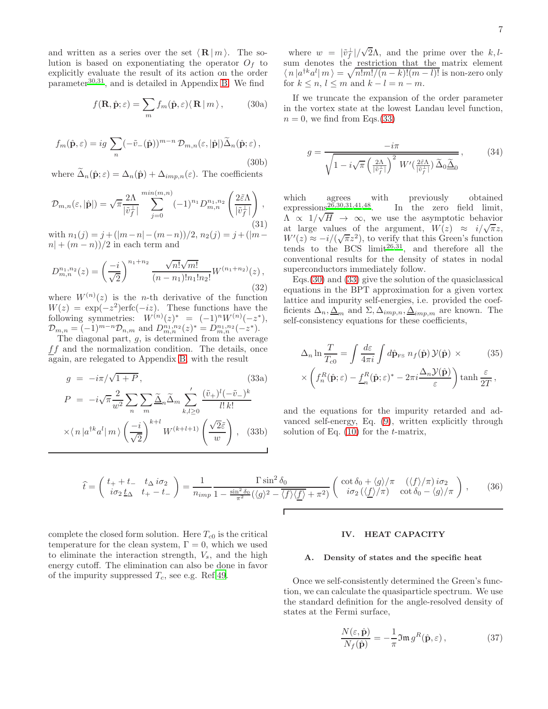and written as a series over the set  $\langle \mathbf{R} | m \rangle$ . The solution is based on exponentiating the operator  $O<sub>f</sub>$  to explicitly evaluate the result of its action on the order  $parameter^{30,31}$  $parameter^{30,31}$  $parameter^{30,31}$  $parameter^{30,31}$ , and is detailed in Appendix [B.](#page-16-0) We find

$$
f(\mathbf{R}, \hat{\mathbf{p}}; \varepsilon) = \sum_{m} f_m(\hat{\mathbf{p}}, \varepsilon) \langle \mathbf{R} | m \rangle, \qquad (30a)
$$

<span id="page-7-1"></span>
$$
f_m(\hat{\mathbf{p}}, \varepsilon) = ig \sum_n (-\tilde{v}_-(\hat{\mathbf{p}}))^{m-n} \mathcal{D}_{m,n}(\varepsilon, |\hat{\mathbf{p}}|) \tilde{\Delta}_n(\hat{\mathbf{p}}; \varepsilon),
$$
\n(30b)

where  $\tilde{\Delta}_n(\hat{\mathbf{p}};\varepsilon) = \Delta_n(\hat{\mathbf{p}}) + \Delta_{imp,n}(\varepsilon)$ . The coefficients

<span id="page-7-3"></span>
$$
\mathcal{D}_{m,n}(\varepsilon,|\hat{\mathbf{p}}|) = \sqrt{\pi} \frac{2\Lambda}{|\tilde{v}_f^{\perp}|} \sum_{j=0}^{\min(m,n)} (-1)^{n_1} D_{m,n}^{n_1,n_2} \left( \frac{2\tilde{\varepsilon}\Lambda}{|\tilde{v}_f^{\perp}|} \right),\tag{31}
$$

with  $n_1(j) = j + (|m-n|-(m-n))/2, n_2(j) = j + (|m-j|)/2$  $n + (m - n)/2$  in each term and

$$
D_{m,n}^{n_1,n_2}(z) = \left(\frac{-i}{\sqrt{2}}\right)^{n_1+n_2} \frac{\sqrt{n!}\sqrt{m!}}{(n-n_1)!n_1!n_2!} W^{(n_1+n_2)}(z),\tag{32}
$$

where  $W^{(n)}(z)$  is the *n*-th derivative of the function  $W(z) = \exp(-z^2) \text{erfc}(-iz)$ . These functions have the following symmetries:  $W^{(n)}(z)^* = (-1)^n W^{(n)}(-z^*),$  $\mathcal{D}_{m,n} = (-1)^{m-n} \mathcal{D}_{n,m}$  and  $D_{m,n}^{n_1,n_2}(z)^* = D_{m,n}^{n_1,n_2}(-z^*).$ 

The diagonal part,  $g$ , is determined from the average  $ff$  and the normalization condition. The details, once again, are relegated to Appendix [B,](#page-16-0) with the result

<span id="page-7-0"></span>
$$
g = -i\pi/\sqrt{1+P},\tag{33a}
$$

$$
P = -i\sqrt{\pi} \frac{2}{w^2} \sum_{n} \sum_{m} \widetilde{\Delta}_{n} \widetilde{\Delta}_{m} \sum_{k,l \ge 0}^{\prime} \frac{(\widetilde{v}_{+})^l (-\widetilde{v}_{-})^k}{l! \, k!}
$$

$$
\times \langle n | a^{\dagger k} a^l | m \rangle \left( \frac{-i}{\sqrt{2}} \right)^{k+l} W^{(k+l+1)} \left( \frac{\sqrt{2} \widetilde{\varepsilon}}{w} \right), \quad (33b)
$$

where  $w = |\tilde{v}_f^{\perp}| / \sqrt{2\Lambda}$ , and the prime over the k,lsum denotes the restriction that the matrix element  $\langle n | a^{\dagger k} a^l | m \rangle = \sqrt{n! m! / (n - k)! (m - l)!}$  is non-zero only for  $k \leq n, l \leq m$  and  $k - l = n - m$ .

If we truncate the expansion of the order parameter in the vortex state at the lowest Landau level function,  $n = 0$ , we find from Eqs.[\(33\)](#page-7-0)

<span id="page-7-2"></span>
$$
g = \frac{-i\pi}{\sqrt{1 - i\sqrt{\pi} \left(\frac{2\Lambda}{|\tilde{v}_f^{\perp}|}\right)^2 W'(\frac{2\tilde{\varepsilon}\Lambda}{|\tilde{v}_f^{\perp}|})\tilde{\Delta}_0 \tilde{\Delta}_0}},
$$
(34)

which agrees with previously obtained  $expressions^{26,30,31,41,48}$  $expressions^{26,30,31,41,48}$  $expressions^{26,30,31,41,48}$  $expressions^{26,30,31,41,48}$  $expressions^{26,30,31,41,48}$  $expressions^{26,30,31,41,48}$  $expressions^{26,30,31,41,48}$ . In the zero field limit,  $\Lambda \propto 1/\sqrt{H}$   $\rightarrow \infty$ , we use the asymptotic behavior at large values of the argument,  $W(z) \approx i/\sqrt{\pi}z$ ,  $W'(z) \approx -i/(\sqrt{\pi}z^2)$ , to verify that this Green's function tends to the BCS limit<sup>[26](#page-18-25)[,31](#page-18-30)</sup>, and therefore all the conventional results for the density of states in nodal superconductors immediately follow.

Eqs.[\(30\)](#page-7-1) and [\(33\)](#page-7-0) give the solution of the quasiclassical equations in the BPT approximation for a given vortex lattice and impurity self-energies, i.e. provided the coefficients  $\Delta_n, \underline{\Delta}_m$  and  $\Sigma, \Delta_{imp,n}, \underline{\Delta}_{imp,m}$  are known. The self-consistency equations for these coefficients,

$$
\Delta_n \ln \frac{T}{T_{c0}} = \int \frac{d\varepsilon}{4\pi i} \int d\hat{\mathbf{p}}_{\rm FS} \ n_f(\hat{\mathbf{p}}) \mathcal{Y}(\hat{\mathbf{p}}) \times \qquad (35)
$$

$$
\times \left( f_n^R(\hat{\mathbf{p}}; \varepsilon) - \underline{f}_n^R(\hat{\mathbf{p}}; \varepsilon)^* - 2\pi i \frac{\Delta_n \mathcal{Y}(\hat{\mathbf{p}})}{\varepsilon} \right) \tanh \frac{\varepsilon}{2T},
$$

and the equations for the impurity retarded and advanced self-energy, Eq. [\(9\)](#page-4-1), written explicitly through solution of Eq.  $(10)$  for the *t*-matrix,

$$
\hat{t} = \begin{pmatrix} t_{+} + t_{-} & t_{\Delta} i \sigma_{2} \\ i \sigma_{2} \underline{t}_{\Delta} & t_{+} - t_{-} \end{pmatrix} = \frac{1}{n_{imp}} \frac{\Gamma \sin^{2} \delta_{0}}{1 - \frac{\sin^{2} \delta_{0}}{\pi^{2}} (\langle g \rangle^{2} - \overline{\langle f \rangle \langle f \rangle} + \pi^{2})} \begin{pmatrix} \cot \delta_{0} + \langle g \rangle / \pi & (\langle f \rangle / \pi) i \sigma_{2} \\ i \sigma_{2} (\langle f \rangle / \pi) & \cot \delta_{0} - \langle g \rangle / \pi \end{pmatrix}, \quad (36)
$$

complete the closed form solution. Here  $T_{c0}$  is the critical temperature for the clean system,  $\Gamma = 0$ , which we used to eliminate the interaction strength,  $V_s$ , and the high energy cutoff. The elimination can also be done in favor of the impurity suppressed  $T_c$ , see e.g. Ref[.49.](#page-18-48)

#### IV. HEAT CAPACITY

#### A. Density of states and the specific heat

Once we self-consistently determined the Green's function, we can calculate the quasiparticle spectrum. We use the standard definition for the angle-resolved density of states at the Fermi surface,

$$
\frac{N(\varepsilon, \hat{\mathbf{p}})}{N_f(\hat{\mathbf{p}})} = -\frac{1}{\pi} \mathfrak{Im} g^R(\hat{\mathbf{p}}, \varepsilon), \qquad (37)
$$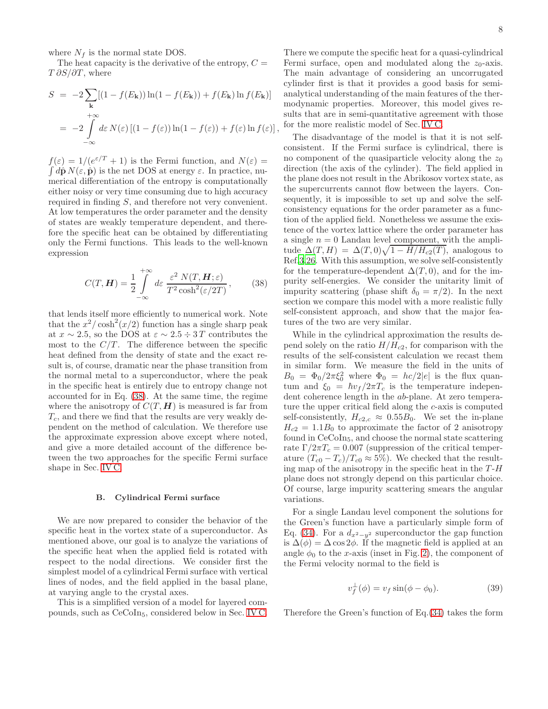where  $N_f$  is the normal state DOS.

The heat capacity is the derivative of the entropy,  $C =$  $T \frac{\partial S}{\partial T}$ , where

$$
S = -2 \sum_{\mathbf{k}} [(1 - f(E_{\mathbf{k}})) \ln(1 - f(E_{\mathbf{k}})) + f(E_{\mathbf{k}}) \ln f(E_{\mathbf{k}})]
$$
  
= 
$$
-2 \int_{-\infty}^{+\infty} d\varepsilon N(\varepsilon) [(1 - f(\varepsilon)) \ln(1 - f(\varepsilon)) + f(\varepsilon) \ln f(\varepsilon)],
$$

 $f(\varepsilon) = 1/(e^{\varepsilon/T} + 1)$  is the Fermi function, and  $N(\varepsilon) =$  $\int d\hat{\mathbf{p}} N(\varepsilon, \hat{\mathbf{p}})$  is the net DOS at energy  $\varepsilon$ . In practice, numerical differentiation of the entropy is computationally either noisy or very time consuming due to high accuracy required in finding S, and therefore not very convenient. At low temperatures the order parameter and the density of states are weakly temperature dependent, and therefore the specific heat can be obtained by differentiating only the Fermi functions. This leads to the well-known expression

<span id="page-8-1"></span>
$$
C(T, \mathbf{H}) = \frac{1}{2} \int_{-\infty}^{+\infty} d\varepsilon \, \frac{\varepsilon^2 \, N(T, \mathbf{H}; \varepsilon)}{T^2 \cosh^2(\varepsilon/2T)},\qquad(38)
$$

that lends itself more efficiently to numerical work. Note that the  $x^2/\cosh^2(x/2)$  function has a single sharp peak at  $x \sim 2.5$ , so the DOS at  $\varepsilon \sim 2.5 \div 3T$  contributes the most to the  $C/T$ . The difference between the specific heat defined from the density of state and the exact result is, of course, dramatic near the phase transition from the normal metal to a superconductor, where the peak in the specific heat is entirely due to entropy change not accounted for in Eq. [\(38\)](#page-8-1). At the same time, the regime where the anisotropy of  $C(T, H)$  is measured is far from  $T_c$ , and there we find that the results are very weakly dependent on the method of calculation. We therefore use the approximate expression above except where noted, and give a more detailed account of the difference between the two approaches for the specific Fermi surface shape in Sec. [IV C.](#page-11-0)

#### <span id="page-8-0"></span>B. Cylindrical Fermi surface

We are now prepared to consider the behavior of the specific heat in the vortex state of a superconductor. As mentioned above, our goal is to analyze the variations of the specific heat when the applied field is rotated with respect to the nodal directions. We consider first the simplest model of a cylindrical Fermi surface with vertical lines of nodes, and the field applied in the basal plane, at varying angle to the crystal axes.

This is a simplified version of a model for layered compounds, such as CeCoIn5, considered below in Sec. [IV C.](#page-11-0)

There we compute the specific heat for a quasi-cylindrical Fermi surface, open and modulated along the  $z_0$ -axis. The main advantage of considering an uncorrugated cylinder first is that it provides a good basis for semianalytical understanding of the main features of the thermodynamic properties. Moreover, this model gives results that are in semi-quantitative agreement with those for the more realistic model of Sec. [IV C.](#page-11-0)

The disadvantage of the model is that it is not selfconsistent. If the Fermi surface is cylindrical, there is no component of the quasiparticle velocity along the  $z_0$ direction (the axis of the cylinder). The field applied in the plane does not result in the Abrikosov vortex state, as the supercurrents cannot flow between the layers. Consequently, it is impossible to set up and solve the selfconsistency equations for the order parameter as a function of the applied field. Nonetheless we assume the existence of the vortex lattice where the order parameter has a single  $n = 0$  Landau level component, with the amplitude  $\Delta(T, H) = \Delta(T, 0) \sqrt{1 - H/H_{c2}(T)}$ , analogous to Ref[.3](#page-18-2)[,26](#page-18-25). With this assumption, we solve self-consistently for the temperature-dependent  $\Delta(T, 0)$ , and for the impurity self-energies. We consider the unitarity limit of impurity scattering (phase shift  $\delta_0 = \pi/2$ ). In the next section we compare this model with a more realistic fully self-consistent approach, and show that the major features of the two are very similar.

While in the cylindrical approximation the results depend solely on the ratio  $H/H_{c2}$ , for comparison with the results of the self-consistent calculation we recast them in similar form. We measure the field in the units of  $B_0 = \Phi_0/2\pi\xi_0^2$  where  $\Phi_0 = hc/2|e|$  is the flux quantum and  $\xi_0 = \hbar v_f / 2\pi T_c$  is the temperature independent coherence length in the ab-plane. At zero temperature the upper critical field along the c-axis is computed self-consistently,  $H_{c2,c} \approx 0.55B_0$ . We set the in-plane  $H_{c2} = 1.1B_0$  to approximate the factor of 2 anisotropy found in CeCoIn5, and choose the normal state scattering rate  $\Gamma/2\pi T_c = 0.007$  (suppression of the critical temperature  $(T_{c0} - T_c)/T_{c0} \approx 5\%$ ). We checked that the resulting map of the anisotropy in the specific heat in the  $T-H$ plane does not strongly depend on this particular choice. Of course, large impurity scattering smears the angular variations.

For a single Landau level component the solutions for the Green's function have a particularly simple form of Eq. [\(34\)](#page-7-2). For a  $d_{x^2-y^2}$  superconductor the gap function is  $\Delta(\phi) = \Delta \cos 2\phi$ . If the magnetic field is applied at an angle  $\phi_0$  to the x-axis (inset in Fig. [2\)](#page-9-0), the component of the Fermi velocity normal to the field is

$$
v_f^{\perp}(\phi) = v_f \sin(\phi - \phi_0). \tag{39}
$$

Therefore the Green's function of Eq.[\(34\)](#page-7-2) takes the form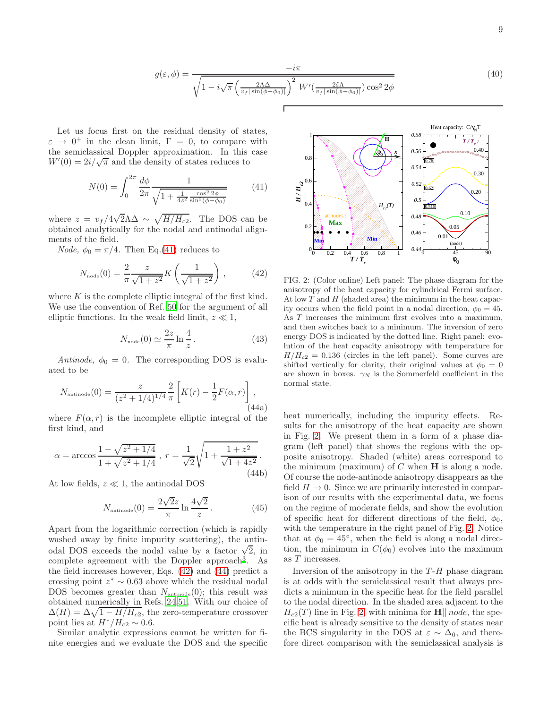<span id="page-9-4"></span>
$$
g(\varepsilon, \phi) = \frac{-i\pi}{\sqrt{1 - i\sqrt{\pi} \left(\frac{2\Lambda\Delta}{v_f |\sin(\phi - \phi_0)|}\right)^2 W'(\frac{2\tilde{\varepsilon}\Lambda}{v_f |\sin(\phi - \phi_0)|})\cos^2 2\phi}}
$$
(40)

Let us focus first on the residual density of states,  $\varepsilon \to 0^+$  in the clean limit,  $\Gamma = 0$ , to compare with the semiclassical Doppler approximation. In this case  $W'(0) = 2i/\sqrt{\pi}$  and the density of states reduces to

<span id="page-9-1"></span>
$$
N(0) = \int_0^{2\pi} \frac{d\phi}{2\pi} \frac{1}{\sqrt{1 + \frac{1}{4z^2} \frac{\cos^2 2\phi}{\sin^2(\phi - \phi_0)}}}
$$
(41)

where  $z = v_f/4\sqrt{2\Lambda}\Delta \sim \sqrt{H/H_{c2}}$ . The DOS can be obtained analytically for the nodal and antinodal alignments of the field.

*Node*,  $\phi_0 = \pi/4$ . Then Eq.[\(41\)](#page-9-1) reduces to

<span id="page-9-2"></span>
$$
N_{\text{node}}(0) = \frac{2}{\pi} \frac{z}{\sqrt{1+z^2}} K\left(\frac{1}{\sqrt{1+z^2}}\right),\tag{42}
$$

where  $K$  is the complete elliptic integral of the first kind. We use the convention of Ref. [50](#page-18-49) for the argument of all elliptic functions. In the weak field limit,  $z \ll 1$ ,

$$
N_{\text{node}}(0) \simeq \frac{2z}{\pi} \ln \frac{4}{z} \,. \tag{43}
$$

Antinode,  $\phi_0 = 0$ . The corresponding DOS is evaluated to be

<span id="page-9-3"></span>
$$
N_{\text{antinode}}(0) = \frac{z}{(z^2 + 1/4)^{1/4}} \frac{2}{\pi} \left[ K(r) - \frac{1}{2} F(\alpha, r) \right],\tag{44a}
$$

where  $F(\alpha, r)$  is the incomplete elliptic integral of the first kind, and

$$
\alpha = \arccos \frac{1 - \sqrt{z^2 + 1/4}}{1 + \sqrt{z^2 + 1/4}}, \ r = \frac{1}{\sqrt{2}} \sqrt{1 + \frac{1 + z^2}{\sqrt{1 + 4z^2}}}.
$$
\n(44b)

At low fields,  $z \ll 1$ , the antinodal DOS

$$
N_{\text{antinode}}(0) = \frac{2\sqrt{2}z}{\pi} \ln \frac{4\sqrt{2}}{z}.
$$
 (45)

Apart from the logarithmic correction (which is rapidly washed away by finite impurity scattering), the antinodal DOS exceeds the nodal value by a factor  $\sqrt{2}$ , in complete agreement with the Doppler approach<sup>[3](#page-18-2)</sup>. As the field increases however, Eqs. [\(42\)](#page-9-2) and [\(44\)](#page-9-3) predict a crossing point  $z^* \sim 0.63$  above which the residual nodal DOS becomes greater than  $N_{\text{antinode}}(0)$ ; this result was obtained numerically in Refs. [24](#page-18-23)[,51](#page-18-50). With our choice of  $\Delta(H) = \Delta \sqrt{1 - H/H_{c2}}$ , the zero-temperature crossover point lies at  $H^*/H_{c2} \sim 0.6$ .

Similar analytic expressions cannot be written for finite energies and we evaluate the DOS and the specific



<span id="page-9-0"></span>FIG. 2: (Color online) Left panel: The phase diagram for the anisotropy of the heat capacity for cylindrical Fermi surface. At low  $T$  and  $H$  (shaded area) the minimum in the heat capacity occurs when the field point in a nodal direction,  $\phi_0 = 45$ . As T increases the minimum first evolves into a maximum, and then switches back to a minimum. The inversion of zero energy DOS is indicated by the dotted line. Right panel: evolution of the heat capacity anisotropy with temperature for  $H/H_{c2} = 0.136$  (circles in the left panel). Some curves are shifted vertically for clarity, their original values at  $\phi_0 = 0$ are shown in boxes.  $\gamma_N$  is the Sommerfeld coefficient in the normal state.

heat numerically, including the impurity effects. Results for the anisotropy of the heat capacity are shown in Fig. [2.](#page-9-0) We present them in a form of a phase diagram (left panel) that shows the regions with the opposite anisotropy. Shaded (white) areas correspond to the minimum (maximum) of  $C$  when  $H$  is along a node. Of course the node-antinode anisotropy disappears as the field  $H \to 0$ . Since we are primarily interested in comparison of our results with the experimental data, we focus on the regime of moderate fields, and show the evolution of specific heat for different directions of the field,  $\phi_0$ , with the temperature in the right panel of Fig. [2.](#page-9-0) Notice that at  $\phi_0 = 45^\circ$ , when the field is along a nodal direction, the minimum in  $C(\phi_0)$  evolves into the maximum as T increases.

Inversion of the anisotropy in the  $T-H$  phase diagram is at odds with the semiclassical result that always predicts a minimum in the specific heat for the field parallel to the nodal direction. In the shaded area adjacent to the  $H_{c2}(T)$  line in Fig. [2,](#page-9-0) with minima for **H**|| *node*, the specific heat is already sensitive to the density of states near the BCS singularity in the DOS at  $\varepsilon \sim \Delta_0$ , and therefore direct comparison with the semiclassical analysis is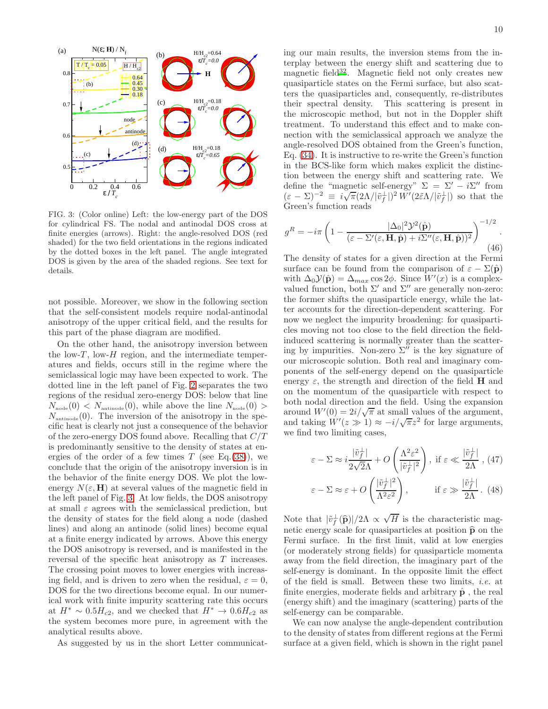

<span id="page-10-0"></span>FIG. 3: (Color online) Left: the low-energy part of the DOS for cylindrical FS. The nodal and antinodal DOS cross at finite energies (arrows). Right: the angle-resolved DOS (red shaded) for the two field orientations in the regions indicated by the dotted boxes in the left panel. The angle integrated DOS is given by the area of the shaded regions. See text for details.

not possible. Moreover, we show in the following section that the self-consistent models require nodal-antinodal anisotropy of the upper critical field, and the results for this part of the phase diagram are modified.

On the other hand, the anisotropy inversion between the low- $T$ , low- $H$  region, and the intermediate temperatures and fields, occurs still in the regime where the semiclassical logic may have been expected to work. The dotted line in the left panel of Fig. [2](#page-9-0) separates the two regions of the residual zero-energy DOS: below that line  $N_{\text{node}}(0) < N_{\text{antinode}}(0)$ , while above the line  $N_{\text{node}}(0)$  $N_{\text{antinode}}(0)$ . The inversion of the anisotropy in the specific heat is clearly not just a consequence of the behavior of the zero-energy DOS found above. Recalling that  $C/T$ is predominantly sensitive to the density of states at energies of the order of a few times  $T$  (see Eq.[\(38\)](#page-8-1)), we conclude that the origin of the anisotropy inversion is in the behavior of the finite energy DOS. We plot the lowenergy  $N(\varepsilon, H)$  at several values of the magnetic field in the left panel of Fig. [3.](#page-10-0) At low fields, the DOS anisotropy at small  $\varepsilon$  agrees with the semiclassical prediction, but the density of states for the field along a node (dashed lines) and along an antinode (solid lines) become equal at a finite energy indicated by arrows. Above this energy the DOS anisotropy is reversed, and is manifested in the reversal of the specific heat anisotropy as T increases. The crossing point moves to lower energies with increasing field, and is driven to zero when the residual,  $\varepsilon = 0$ , DOS for the two directions become equal. In our numerical work with finite impurity scattering rate this occurs at  $H^* \sim 0.5H_{c2}$ , and we checked that  $H^* \to 0.6H_{c2}$  as the system becomes more pure, in agreement with the analytical results above.

As suggested by us in the short Letter communicat-

ing our main results, the inversion stems from the interplay between the energy shift and scattering due to magnetic field<sup>[32](#page-18-31)</sup>. Magnetic field not only creates new quasiparticle states on the Fermi surface, but also scatters the quasiparticles and, consequently, re-distributes their spectral density. This scattering is present in the microscopic method, but not in the Doppler shift treatment. To understand this effect and to make con-

nection with the semiclassical approach we analyze the angle-resolved DOS obtained from the Green's function, Eq. [\(34\)](#page-7-2). It is instructive to re-write the Green's function in the BCS-like form which makes explicit the distinction between the energy shift and scattering rate. We define the "magnetic self-energy"  $\Sigma = \Sigma' - i\Sigma''$  from  $(\varepsilon - \Sigma)^{-2} \equiv i \sqrt{\pi} (2\Lambda/|\tilde{v}_f^{\perp}|)^2 W'(2\tilde{\varepsilon}\Lambda/|\tilde{v}_f^{\perp}|)$  so that the Green's function reads

$$
g^{R} = -i\pi \left( 1 - \frac{|\Delta_0|^2 \mathcal{Y}^2(\hat{\mathbf{p}})}{(\varepsilon - \Sigma'(\varepsilon, \mathbf{H}, \hat{\mathbf{p}}) + i\Sigma''(\varepsilon, \mathbf{H}, \hat{\mathbf{p}}))^2} \right)^{-1/2}.
$$
\n(46)

The density of states for a given direction at the Fermi surface can be found from the comparison of  $\varepsilon - \Sigma(\hat{\mathbf{p}})$ with  $\Delta_0 \mathcal{Y}(\hat{\mathbf{p}}) = \Delta_{max} \cos 2\phi$ . Since  $W'(x)$  is a complexvalued function, both  $\Sigma'$  and  $\Sigma''$  are generally non-zero: the former shifts the quasiparticle energy, while the latter accounts for the direction-dependent scattering. For now we neglect the impurity broadening: for quasiparticles moving not too close to the field direction the fieldinduced scattering is normally greater than the scattering by impurities. Non-zero  $\Sigma''$  is the key signature of our microscopic solution. Both real and imaginary components of the self-energy depend on the quasiparticle energy  $\varepsilon$ , the strength and direction of the field **H** and on the momentum of the quasiparticle with respect to both nodal direction and the field. Using the expansion around  $W'(0) = 2i/\sqrt{\pi}$  at small values of the argument, and taking  $W'(z \gg 1) \approx -i/\sqrt{\pi}z^2$  for large arguments, we find two limiting cases,

<span id="page-10-1"></span>
$$
\varepsilon - \Sigma \approx i \frac{|\tilde{v}_f^{\perp}|}{2\sqrt{2}\Lambda} + O\left(\frac{\Lambda^2 \varepsilon^2}{|\tilde{v}_f^{\perp}|^2}\right), \text{ if } \varepsilon \ll \frac{|\tilde{v}_f^{\perp}|}{2\Lambda}, (47)
$$

$$
\varepsilon - \Sigma \approx \varepsilon + O\left(\frac{|\tilde{v}_f^{\perp}|^2}{\Lambda^2 \varepsilon^2}\right), \qquad \text{if } \varepsilon \gg \frac{|\tilde{v}_f^{\perp}|}{2\Lambda}. (48)
$$

Note that  $|\tilde{v}_f^{\perp}(\hat{\mathbf{p}})|/2\Lambda \propto \sqrt{H}$  is the characteristic magnetic energy scale for quasiparticles at position  $\hat{p}$  on the Fermi surface. In the first limit, valid at low energies (or moderately strong fields) for quasiparticle momenta away from the field direction, the imaginary part of the self-energy is dominant. In the opposite limit the effect of the field is small. Between these two limits, i.e. at finite energies, moderate fields and arbitrary  $\hat{\mathbf{p}}$ , the real (energy shift) and the imaginary (scattering) parts of the self-energy can be comparable.

We can now analyse the angle-dependent contribution to the density of states from different regions at the Fermi surface at a given field, which is shown in the right panel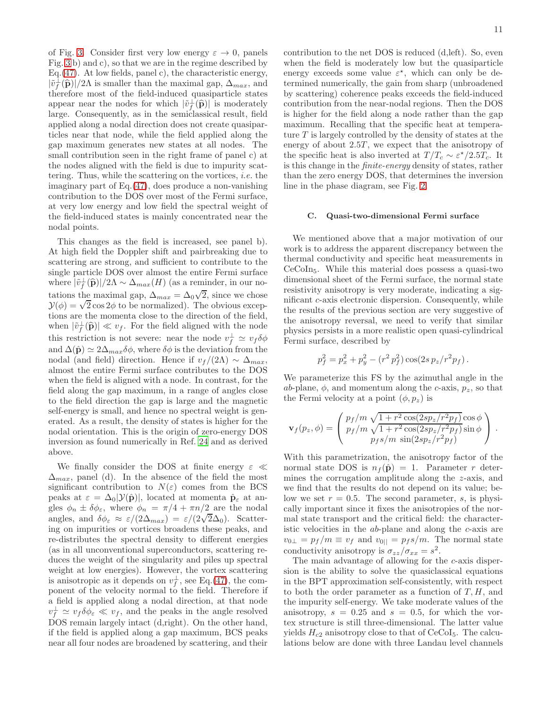of Fig. [3.](#page-10-0) Consider first very low energy  $\varepsilon \to 0$ , panels Fig. [3](#page-10-0) b) and c), so that we are in the regime described by Eq.[\(47\)](#page-10-1). At low fields, panel c), the characteristic energy,  $|\tilde{v}_f^{\perp}(\hat{\mathbf{p}})|/2\Lambda$  is smaller than the maximal gap,  $\Delta_{max}$ , and therefore most of the field-induced quasiparticle states appear near the nodes for which  $|\tilde{v}_+^{\perp}(\hat{p})|$  is moderately large. Consequently, as in the semiclassical result, field applied along a nodal direction does not create quasiparticles near that node, while the field applied along the gap maximum generates new states at all nodes. The small contribution seen in the right frame of panel c) at the nodes aligned with the field is due to impurity scattering. Thus, while the scattering on the vortices, i.e. the imaginary part of Eq.[\(47\)](#page-10-1), does produce a non-vanishing contribution to the DOS over most of the Fermi surface, at very low energy and low field the spectral weight of the field-induced states is mainly concentrated near the nodal points.

This changes as the field is increased, see panel b). At high field the Doppler shift and pairbreaking due to scattering are strong, and sufficient to contribute to the single particle DOS over almost the entire Fermi surface where  $|\tilde{v}_f^{\perp}(\hat{\mathbf{p}})|/2\Lambda \sim \Delta_{max}(H)$  (as a reminder, in our notations the maximal gap,  $\Delta_{max} = \Delta_0 \sqrt{2}$ , since we chose  $\mathcal{Y}(\phi) = \sqrt{2} \cos 2\phi$  to be normalized). The obvious exceptions are the momenta close to the direction of the field, when  $|\tilde{v}_f^{\perp}(\hat{\mathbf{p}})| \ll v_f$ . For the field aligned with the node this restriction is not severe: near the node  $v_f^{\perp} \simeq v_f \delta \phi$ and  $\Delta(\hat{\mathbf{p}}) \simeq 2\Delta_{max}\delta\phi$ , where  $\delta\phi$  is the deviation from the nodal (and field) direction. Hence if  $v_f/(2\Lambda) \sim \Delta_{max}$ , almost the entire Fermi surface contributes to the DOS when the field is aligned with a node. In contrast, for the field along the gap maximum, in a range of angles close to the field direction the gap is large and the magnetic self-energy is small, and hence no spectral weight is generated. As a result, the density of states is higher for the nodal orientation. This is the origin of zero-energy DOS inversion as found numerically in Ref. [24](#page-18-23) and as derived above.

We finally consider the DOS at finite energy  $\varepsilon \ll$  $\Delta_{max}$ , panel (d). In the absence of the field the most significant contribution to  $N(\varepsilon)$  comes from the BCS peaks at  $\varepsilon = \Delta_0 |\mathcal{Y}(\hat{\mathbf{p}})|$ , located at momenta  $\hat{\mathbf{p}}_{\varepsilon}$  at angles  $\phi_n \pm \delta \phi_{\varepsilon}$ , where  $\phi_n = \pi/4 + \pi n/2$  are the nodal angles, and  $\delta\phi_{\varepsilon} \approx \varepsilon/(2\Delta_{max}) = \varepsilon/(2\sqrt{2}\Delta_0)$ . Scattering on impurities or vortices broadens these peaks, and re-distributes the spectral density to different energies (as in all unconventional superconductors, scattering reduces the weight of the singularity and piles up spectral weight at low energies). However, the vortex scattering is anisotropic as it depends on  $v_f^{\perp}$ , see Eq.[\(47\)](#page-10-1), the component of the velocity normal to the field. Therefore if a field is applied along a nodal direction, at that node  $v_f^{\perp} \simeq v_f \delta \phi_{\varepsilon} \ll v_f$ , and the peaks in the angle resolved DOS remain largely intact (d,right). On the other hand, if the field is applied along a gap maximum, BCS peaks near all four nodes are broadened by scattering, and their

contribution to the net DOS is reduced (d,left). So, even when the field is moderately low but the quasiparticle energy exceeds some value  $\varepsilon^*$ , which can only be determined numerically, the gain from sharp (unbroadened by scattering) coherence peaks exceeds the field-induced contribution from the near-nodal regions. Then the DOS is higher for the field along a node rather than the gap maximum. Recalling that the specific heat at temperature  $T$  is largely controlled by the density of states at the energy of about  $2.5T$ , we expect that the anisotropy of the specific heat is also inverted at  $T/T_c \sim \varepsilon^*/2.5T_c$ . It is this change in the finite-energy density of states, rather than the zero energy DOS, that determines the inversion line in the phase diagram, see Fig. [2.](#page-9-0)

# <span id="page-11-0"></span>C. Quasi-two-dimensional Fermi surface

We mentioned above that a major motivation of our work is to address the apparent discrepancy between the thermal conductivity and specific heat measurements in CeCoIn5. While this material does possess a quasi-two dimensional sheet of the Fermi surface, the normal state resistivity anisotropy is very moderate, indicating a significant c-axis electronic dispersion. Consequently, while the results of the previous section are very suggestive of the anisotropy reversal, we need to verify that similar physics persists in a more realistic open quasi-cylindrical Fermi surface, described by

$$
p_f^2 = p_x^2 + p_y^2 - (r^2 p_f^2) \cos(2s \, p_z / r^2 p_f).
$$

We parameterize this FS by the azimuthal angle in the ab-plane,  $\phi$ , and momentum along the c-axis,  $p_z$ , so that the Fermi velocity at a point  $(\phi, p_z)$  is

$$
\mathbf{v}_f(p_z, \phi) = \begin{pmatrix} p_f/m \sqrt{1 + r^2 \cos(2sp_z/r^2 p_f)} \cos \phi \\ p_f/m \sqrt{1 + r^2 \cos(2sp_z/r^2 p_f)} \sin \phi \\ p_f s/m \sin(2sp_z/r^2 p_f) \end{pmatrix}.
$$

With this parametrization, the anisotropy factor of the normal state DOS is  $n_f(\hat{\mathbf{p}}) = 1$ . Parameter r determines the corrugation amplitude along the z-axis, and we find that the results do not depend on its value; below we set  $r = 0.5$ . The second parameter, s, is physically important since it fixes the anisotropies of the normal state transport and the critical field: the characteristic velocities in the ab-plane and along the c-axis are  $v_{0\perp} = p_f/m \equiv v_f$  and  $v_{0\parallel} = p_f s/m$ . The normal state conductivity anisotropy is  $\sigma_{zz}/\sigma_{xx} = s^2$ .

The main advantage of allowing for the c-axis dispersion is the ability to solve the quasiclassical equations in the BPT approximation self-consistently, with respect to both the order parameter as a function of  $T, H$ , and the impurity self-energy. We take moderate values of the anisotropy,  $s = 0.25$  and  $s = 0.5$ , for which the vortex structure is still three-dimensional. The latter value yields  $H_{c2}$  anisotropy close to that of CeCoI<sub>5</sub>. The calculations below are done with three Landau level channels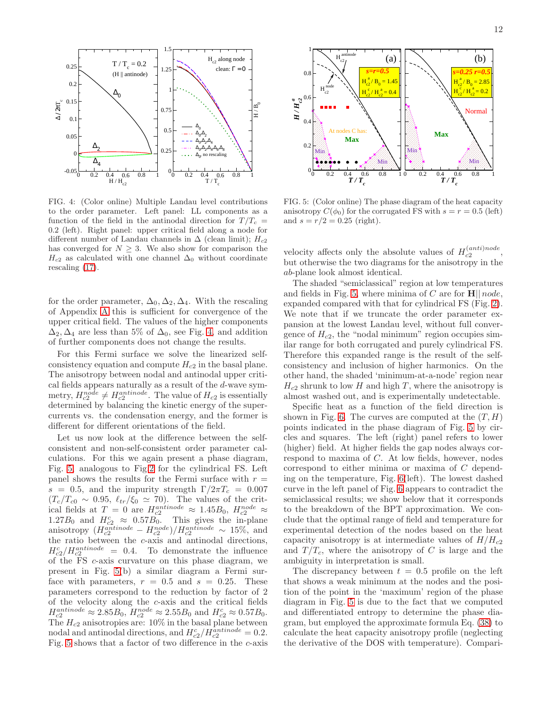

<span id="page-12-0"></span>FIG. 4: (Color online) Multiple Landau level contributions to the order parameter. Left panel: LL components as a function of the field in the antinodal direction for  $T/T_c$  = 0.2 (left). Right panel: upper critical field along a node for different number of Landau channels in  $\Delta$  (clean limit);  $H_{c2}$ has converged for  $N \geq 3$ . We also show for comparison the  $H_{c2}$  as calculated with one channel  $\Delta_0$  without coordinate rescaling [\(17\)](#page-6-2).

for the order parameter,  $\Delta_0$ ,  $\Delta_2$ ,  $\Delta_4$ . With the rescaling of Appendix [A](#page-15-0) this is sufficient for convergence of the upper critical field. The values of the higher components  $\Delta_2, \Delta_4$  are less than 5% of  $\Delta_0$ , see Fig. [4,](#page-12-0) and addition of further components does not change the results.

For this Fermi surface we solve the linearized selfconsistency equation and compute  $H_{c2}$  in the basal plane. The anisotropy between nodal and antinodal upper critical fields appears naturally as a result of the d-wave symmetry,  $H_{c2}^{node} \neq H_{c2}^{antinode}$ . The value of  $H_{c2}$  is essentially determined by balancing the kinetic energy of the supercurrents vs. the condensation energy, and the former is different for different orientations of the field.

Let us now look at the difference between the selfconsistent and non-self-consistent order parameter calculations. For this we again present a phase diagram, Fig. [5,](#page-12-1) analogous to Fig[.2](#page-9-0) for the cylindrical FS. Left panel shows the results for the Fermi surface with  $r =$ s = 0.5, and the impurity strength  $\Gamma/2\pi T_c = 0.007$  $(T_c/T_{c0} \sim 0.95, \ell_{tr}/\xi_0 \simeq 70)$ . The values of the critical fields at  $T = 0$  are  $H_{c2}^{antinode} \approx 1.45B_0$ ,  $H_{c2}^{node} \approx 1.27B_0$  and  $H_{c2}^{c} \approx 0.57B_0$ . This gives the in-plane anisotropy  $(H_{c2}^{antinode} - H_{c2}^{node})/H_{c2}^{antinode} \sim 15\%,$  and the ratio between the c-axis and antinodal directions,  $H_{c2}^{c}/H_{c2}^{antinode} = 0.4.$  To demonstrate the influence of the FS c-axis curvature on this phase diagram, we present in Fig. [5\(](#page-12-1)b) a similar diagram a Fermi surface with parameters,  $r = 0.5$  and  $s = 0.25$ . These parameters correspond to the reduction by factor of 2 of the velocity along the c-axis and the critical fields  $H_{c2}^{antinode} \approx 2.85B_0, H_{c2}^{node} \approx 2.55B_0$  and  $H_{c2}^c \approx 0.57B_0$ . The  $H_{c2}$  anisotropies are: 10% in the basal plane between nodal and antinodal directions, and  $H_{c2}^{c}/H_{c2}^{antinode} = 0.2$ . Fig. [5](#page-12-1) shows that a factor of two difference in the c-axis



<span id="page-12-1"></span>FIG. 5: (Color online) The phase diagram of the heat capacity anisotropy  $C(\phi_0)$  for the corrugated FS with  $s = r = 0.5$  (left) and  $s = r/2 = 0.25$  (right).

velocity affects only the absolute values of  $H_{c2}^{(anti)node}$ , but otherwise the two diagrams for the anisotropy in the ab-plane look almost identical.

The shaded "semiclassical" region at low temperatures and fields in Fig. [5,](#page-12-1) where minima of  $C$  are for  $\mathbf{H} \parallel node$ , expanded compared with that for cylindrical FS (Fig. [2\)](#page-9-0). We note that if we truncate the order parameter expansion at the lowest Landau level, without full convergence of  $H_{c2}$ , the "nodal minimum" region occupies similar range for both corrugated and purely cylindrical FS. Therefore this expanded range is the result of the selfconsistency and inclusion of higher harmonics. On the other hand, the shaded 'minimum-at-a-node' region near  $H_{c2}$  shrunk to low H and high T, where the anisotropy is almost washed out, and is experimentally undetectable.

Specific heat as a function of the field direction is shown in Fig. [6.](#page-13-0) The curves are computed at the  $(T, H)$ points indicated in the phase diagram of Fig. [5](#page-12-1) by circles and squares. The left (right) panel refers to lower (higher) field. At higher fields the gap nodes always correspond to maxima of C. At low fields, however, nodes correspond to either minima or maxima of C depending on the temperature, Fig. [6\(](#page-13-0)left). The lowest dashed curve in the left panel of Fig. [6](#page-13-0) appears to contradict the semiclassical results; we show below that it corresponds to the breakdown of the BPT approximation. We conclude that the optimal range of field and temperature for experimental detection of the nodes based on the heat capacity anisotropy is at intermediate values of  $H/H_{c2}$ and  $T/T_c$ , where the anisotropy of C is large and the ambiguity in interpretation is small.

The discrepancy between  $t = 0.5$  profile on the left that shows a weak minimum at the nodes and the position of the point in the 'maximum' region of the phase diagram in Fig. [5](#page-12-1) is due to the fact that we computed and differentiated entropy to determine the phase diagram, but employed the approximate formula Eq. [\(38\)](#page-8-1) to calculate the heat capacity anisotropy profile (neglecting the derivative of the DOS with temperature). Compari-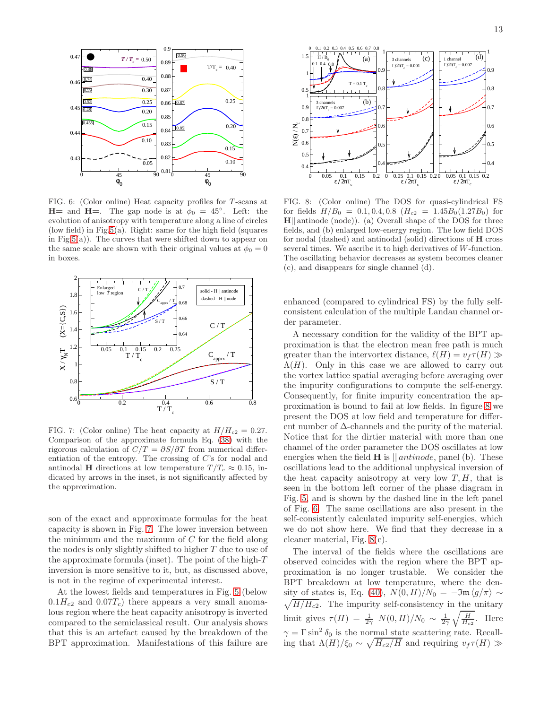

<span id="page-13-0"></span>FIG. 6: (Color online) Heat capacity profiles for T-scans at  $H=$  and  $H=$ . The gap node is at  $\phi_0 = 45^\circ$ . Left: the evolution of anisotropy with temperature along a line of circles (low field) in Fig[.5\(](#page-12-1)a). Right: same for the high field (squares in Fig[.5\(](#page-12-1)a)). The curves that were shifted down to appear on the same scale are shown with their original values at  $\phi_0 = 0$ in boxes.



<span id="page-13-1"></span>FIG. 7: (Color online) The heat capacity at  $H/H_{c2} = 0.27$ . Comparison of the approximate formula Eq. [\(38\)](#page-8-1) with the rigorous calculation of  $C/T = \partial S/\partial T$  from numerical differentiation of the entropy. The crossing of C's for nodal and antinodal H directions at low temperature  $T/T_c \approx 0.15$ , indicated by arrows in the inset, is not significantly affected by the approximation.

son of the exact and approximate formulas for the heat capacity is shown in Fig. [7.](#page-13-1) The lower inversion between the minimum and the maximum of  $C$  for the field along the nodes is only slightly shifted to higher T due to use of the approximate formula (inset). The point of the high- $T$ inversion is more sensitive to it, but, as discussed above, is not in the regime of experimental interest.

At the lowest fields and temperatures in Fig. [5](#page-12-1) (below  $0.1H_{c2}$  and  $0.07T_c$ ) there appears a very small anomalous region where the heat capacity anisotropy is inverted compared to the semiclassical result. Our analysis shows that this is an artefact caused by the breakdown of the BPT approximation. Manifestations of this failure are



<span id="page-13-2"></span>FIG. 8: (Color online) The DOS for quasi-cylindrical FS for fields  $H/B_0 = 0.1, 0.4, 0.8$   $(H_{c2} = 1.45B_0(1.27B_0)$  for H|| antinode (node)). (a) Overall shape of the DOS for three fields, and (b) enlarged low-energy region. The low field DOS for nodal (dashed) and antinodal (solid) directions of H cross several times. We ascribe it to high derivatives of W-function. The oscillating behavior decreases as system becomes cleaner (c), and disappears for single channel (d).

enhanced (compared to cylindrical FS) by the fully selfconsistent calculation of the multiple Landau channel order parameter.

A necessary condition for the validity of the BPT approximation is that the electron mean free path is much greater than the intervortex distance,  $\ell(H) = v_f \tau(H) \gg$  $\Lambda(H)$ . Only in this case we are allowed to carry out the vortex lattice spatial averaging before averaging over the impurity configurations to compute the self-energy. Consequently, for finite impurity concentration the approximation is bound to fail at low fields. In figure [8](#page-13-2) we present the DOS at low field and temperature for different number of  $\Delta$ -channels and the purity of the material. Notice that for the dirtier material with more than one channel of the order parameter the DOS oscillates at low energies when the field  $H$  is  $\parallel antinode$ , panel (b). These oscillations lead to the additional unphysical inversion of the heat capacity anisotropy at very low  $T, H$ , that is seen in the bottom left corner of the phase diagram in Fig. [5,](#page-12-1) and is shown by the dashed line in the left panel of Fig. [6.](#page-13-0) The same oscillations are also present in the self-consistently calculated impurity self-energies, which we do not show here. We find that they decrease in a cleaner material, Fig. [8\(](#page-13-2)c).

The interval of the fields where the oscillations are observed coincides with the region where the BPT approximation is no longer trustable. We consider the BPT breakdown at low temperature, where the den-sity of states is, Eq. [\(40\)](#page-9-4),  $N(0, H)/N_0 = -\Im \mathfrak{m} \langle g/\pi \rangle \sim$  $\sqrt{H/H_{c2}}$ . The impurity self-consistency in the unitary limit gives  $\tau(H) = \frac{1}{2\gamma} N(0, H)/N_0 \sim \frac{1}{2\gamma} \sqrt{\frac{H}{H_{c2}}}$ . Here  $\gamma = \Gamma \sin^2 \delta_0$  is the normal state scattering rate. Recalling that  $\Lambda(H)/\xi_0 \sim \sqrt{H_{c2}/H}$  and requiring  $v_f \tau(H) \gg$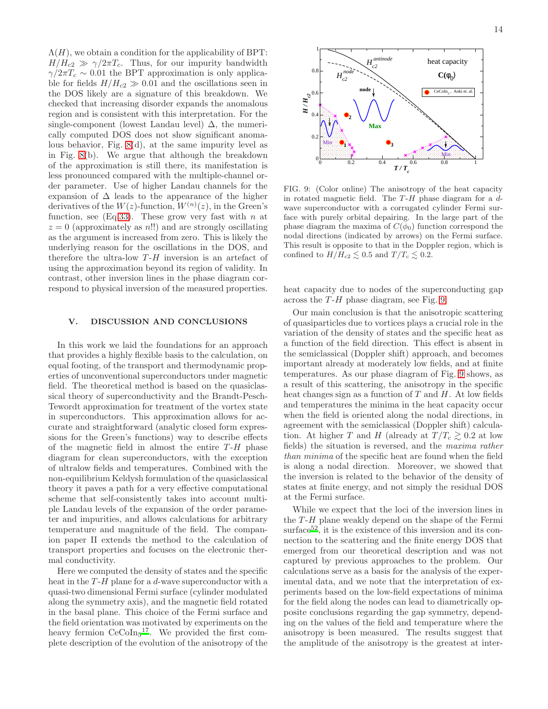$\Lambda(H)$ , we obtain a condition for the applicability of BPT:  $H/H_{c2} \gg \gamma/2\pi T_c$ . Thus, for our impurity bandwidth  $\gamma/2\pi T_c \sim 0.01$  the BPT approximation is only applicable for fields  $H/H_{c2} \gg 0.01$  and the oscillations seen in the DOS likely are a signature of this breakdown. We checked that increasing disorder expands the anomalous region and is consistent with this interpretation. For the single-component (lowest Landau level)  $\Delta$ , the numerically computed DOS does not show significant anomalous behavior, Fig. [8\(](#page-13-2)d), at the same impurity level as in Fig. [8\(](#page-13-2)b). We argue that although the breakdown of the approximation is still there, its manifestation is less pronounced compared with the multiple-channel order parameter. Use of higher Landau channels for the expansion of  $\Delta$  leads to the appearance of the higher derivatives of the  $W(z)$ -function,  $W^{(n)}(z)$ , in the Green's function, see  $(Eq.33)$  $(Eq.33)$ . These grow very fast with n at  $z = 0$  (approximately as n!!) and are strongly oscillating as the argument is increased from zero. This is likely the underlying reason for the oscillations in the DOS, and therefore the ultra-low  $T-H$  inversion is an artefact of using the approximation beyond its region of validity. In contrast, other inversion lines in the phase diagram correspond to physical inversion of the measured properties.

#### <span id="page-14-0"></span>V. DISCUSSION AND CONCLUSIONS

In this work we laid the foundations for an approach that provides a highly flexible basis to the calculation, on equal footing, of the transport and thermodynamic properties of unconventional superconductors under magnetic field. The theoretical method is based on the quasiclassical theory of superconductivity and the Brandt-Pesch-Tewordt approximation for treatment of the vortex state in superconductors. This approximation allows for accurate and straightforward (analytic closed form expressions for the Green's functions) way to describe effects of the magnetic field in almost the entire  $T-H$  phase diagram for clean superconductors, with the exception of ultralow fields and temperatures. Combined with the non-equilibrium Keldysh formulation of the quasiclassical theory it paves a path for a very effective computational scheme that self-consistently takes into account multiple Landau levels of the expansion of the order parameter and impurities, and allows calculations for arbitrary temperature and magnitude of the field. The companion paper II extends the method to the calculation of transport properties and focuses on the electronic thermal conductivity.

Here we computed the density of states and the specific heat in the  $T-H$  plane for a d-wave superconductor with a quasi-two dimensional Fermi surface (cylinder modulated along the symmetry axis), and the magnetic field rotated in the basal plane. This choice of the Fermi surface and the field orientation was motivated by experiments on the heavy fermion  $CeCoIn<sub>5</sub><sup>17</sup>$  $CeCoIn<sub>5</sub><sup>17</sup>$  $CeCoIn<sub>5</sub><sup>17</sup>$ . We provided the first complete description of the evolution of the anisotropy of the



<span id="page-14-1"></span>FIG. 9: (Color online) The anisotropy of the heat capacity in rotated magnetic field. The  $T-H$  phase diagram for a  $d$ wave superconductor with a corrugated cylinder Fermi surface with purely orbital depairing. In the large part of the phase diagram the maxima of  $C(\phi_0)$  function correspond the nodal directions (indicated by arrows) on the Fermi surface. This result is opposite to that in the Doppler region, which is confined to  $H/H_{c2} \lesssim 0.5$  and  $T/T_c \lesssim 0.2$ .

heat capacity due to nodes of the superconducting gap across the  $T-H$  phase diagram, see Fig. [9.](#page-14-1)

Our main conclusion is that the anisotropic scattering of quasiparticles due to vortices plays a crucial role in the variation of the density of states and the specific heat as a function of the field direction. This effect is absent in the semiclassical (Doppler shift) approach, and becomes important already at moderately low fields, and at finite temperatures. As our phase diagram of Fig. [9](#page-14-1) shows, as a result of this scattering, the anisotropy in the specific heat changes sign as a function of  $T$  and  $H$ . At low fields and temperatures the minima in the heat capacity occur when the field is oriented along the nodal directions, in agreement with the semiclassical (Doppler shift) calculation. At higher T and H (already at  $T/T_c \gtrsim 0.2$  at low fields) the situation is reversed, and the maxima rather than minima of the specific heat are found when the field is along a nodal direction. Moreover, we showed that the inversion is related to the behavior of the density of states at finite energy, and not simply the residual DOS at the Fermi surface.

While we expect that the loci of the inversion lines in the  $T-H$  plane weakly depend on the shape of the Fermi surface<sup>[52](#page-18-51)</sup>, it is the existence of this inversion and its connection to the scattering and the finite energy DOS that emerged from our theoretical description and was not captured by previous approaches to the problem. Our calculations serve as a basis for the analysis of the experimental data, and we note that the interpretation of experiments based on the low-field expectations of minima for the field along the nodes can lead to diametrically opposite conclusions regarding the gap symmetry, depending on the values of the field and temperature where the anisotropy is been measured. The results suggest that the amplitude of the anisotropy is the greatest at inter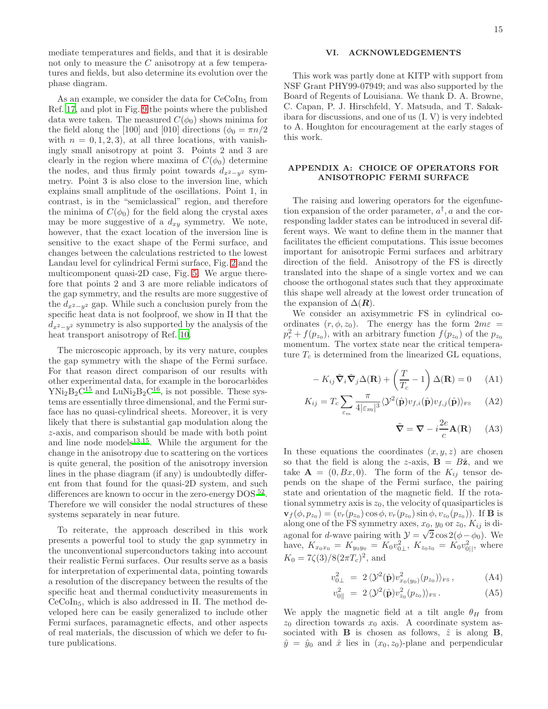mediate temperatures and fields, and that it is desirable not only to measure the C anisotropy at a few temperatures and fields, but also determine its evolution over the phase diagram.

As an example, we consider the data for  $CeCoIn<sub>5</sub>$  from Ref. [17](#page-18-16), and plot in Fig. [9](#page-14-1) the points where the published data were taken. The measured  $C(\phi_0)$  shows minima for the field along the [100] and [010] directions ( $\phi_0 = \pi n/2$ with  $n = 0, 1, 2, 3$ , at all three locations, with vanishingly small anisotropy at point 3. Points 2 and 3 are clearly in the region where maxima of  $C(\phi_0)$  determine the nodes, and thus firmly point towards  $d_{x^2-y^2}$  symmetry. Point 3 is also close to the inversion line, which explains small amplitude of the oscillations. Point 1, in contrast, is in the "semiclassical" region, and therefore the minima of  $C(\phi_0)$  for the field along the crystal axes may be more suggestive of a  $d_{xy}$  symmetry. We note, however, that the exact location of the inversion line is sensitive to the exact shape of the Fermi surface, and changes between the calculations restricted to the lowest Landau level for cylindrical Fermi surface, Fig. [2](#page-9-0) and the multicomponent quasi-2D case, Fig. [5.](#page-12-1) We argue therefore that points 2 and 3 are more reliable indicators of the gap symmetry, and the results are more suggestive of the  $d_{x^2-y^2}$  gap. While such a conclusion purely from the specific heat data is not foolproof, we show in II that the  $d_{x^2-y^2}$  symmetry is also supported by the analysis of the heat transport anisotropy of Ref. [10](#page-18-9).

The microscopic approach, by its very nature, couples the gap symmetry with the shape of the Fermi surface. For that reason direct comparison of our results with other experimental data, for example in the borocarbides  $YNi<sub>2</sub>B<sub>2</sub>C<sup>15</sup>$  $YNi<sub>2</sub>B<sub>2</sub>C<sup>15</sup>$  $YNi<sub>2</sub>B<sub>2</sub>C<sup>15</sup>$  and  $LuNi<sub>2</sub>B<sub>2</sub>C<sup>16</sup>$  $LuNi<sub>2</sub>B<sub>2</sub>C<sup>16</sup>$  $LuNi<sub>2</sub>B<sub>2</sub>C<sup>16</sup>$ , is not possible. These systems are essentially three dimensional, and the Fermi surface has no quasi-cylindrical sheets. Moreover, it is very likely that there is substantial gap modulation along the z-axis, and comparison should be made with both point and line node models $13,15$  $13,15$ . While the argument for the change in the anisotropy due to scattering on the vortices is quite general, the position of the anisotropy inversion lines in the phase diagram (if any) is undoubtedly different from that found for the quasi-2D system, and such differences are known to occur in the zero-energy DOS<sup>[52](#page-18-51)</sup>. Therefore we will consider the nodal structures of these systems separately in near future.

To reiterate, the approach described in this work presents a powerful tool to study the gap symmetry in the unconventional superconductors taking into account their realistic Fermi surfaces. Our results serve as a basis for interpretation of experimental data, pointing towards a resolution of the discrepancy between the results of the specific heat and thermal conductivity measurements in CeCoIn5, which is also addressed in II. The method developed here can be easily generalized to include other Fermi surfaces, paramagnetic effects, and other aspects of real materials, the discussion of which we defer to future publications.

#### VI. ACKNOWLEDGEMENTS

This work was partly done at KITP with support from NSF Grant PHY99-07949; and was also supported by the Board of Regents of Louisiana. We thank D. A. Browne, C. Capan, P. J. Hirschfeld, Y. Matsuda, and T. Sakakibara for discussions, and one of us (I. V) is very indebted to A. Houghton for encouragement at the early stages of this work.

# <span id="page-15-0"></span>APPENDIX A: CHOICE OF OPERATORS FOR ANISOTROPIC FERMI SURFACE

The raising and lowering operators for the eigenfunction expansion of the order parameter,  $a^{\dagger}$ , a and the corresponding ladder states can be introduced in several different ways. We want to define them in the manner that facilitates the efficient computations. This issue becomes important for anisotropic Fermi surfaces and arbitrary direction of the field. Anisotropy of the FS is directly translated into the shape of a single vortex and we can choose the orthogonal states such that they approximate this shape well already at the lowest order truncation of the expansion of  $\Delta(\mathbf{R})$ .

We consider an axisymmetric FS in cylindrical coordinates  $(r, \phi, z_0)$ . The energy has the form  $2m\varepsilon =$  $p_r^2 + f(p_{z_0})$ , with an arbitrary function  $f(p_{z_0})$  of the  $p_{z_0}$ momentum. The vortex state near the critical temperature  $T_c$  is determined from the linearized GL equations,

$$
-K_{ij}\tilde{\nabla}_i\tilde{\nabla}_j\Delta(\mathbf{R}) + \left(\frac{T}{T_c} - 1\right)\Delta(\mathbf{R}) = 0 \quad \text{(A1)}
$$

$$
K_{ij} = T_c \sum_{\varepsilon_m} \frac{\pi}{4|\varepsilon_m|^3} \langle \mathcal{Y}^2(\hat{\mathbf{p}}) v_{f,i}(\hat{\mathbf{p}}) v_{f,j}(\hat{\mathbf{p}}) \rangle_{\text{FS}} \qquad (A2)
$$

$$
\tilde{\nabla} = \nabla - i \frac{2e}{c} \mathbf{A}(\mathbf{R}) \qquad (A3)
$$

In these equations the coordinates  $(x, y, z)$  are chosen so that the field is along the z-axis,  $\mathbf{B} = B\hat{\mathbf{z}}$ , and we take  $\mathbf{A} = (0, Bx, 0)$ . The form of the  $K_{ij}$  tensor depends on the shape of the Fermi surface, the pairing state and orientation of the magnetic field. If the rotational symmetry axis is  $z_0$ , the velocity of quasiparticles is  $\mathbf{v}_f(\phi, p_{z_0}) = (v_r(p_{z_0}) \cos \phi, v_r(p_{z_0}) \sin \phi, v_{z_0}(p_{z_0}))$ . If **B** is along one of the FS symmetry axes,  $x_0$ ,  $y_0$  or  $z_0$ ,  $K_{ij}$  is diagonal for d-wave pairing with  $\mathcal{Y} = \sqrt{2} \cos 2(\phi - \phi_0)$ . We have,  $K_{x_0x_0} = K_{y_0y_0} = K_0v_{0\perp}^2$ ,  $K_{z_0z_0} = K_0v_{0\parallel}^2$ , where  $K_0 = 7\zeta(3)/8(2\pi T_c)^2$ , and

$$
v_{0\perp}^2 = 2 \langle \mathcal{Y}^2(\hat{\mathbf{p}}) v_{x_0(y_0)}^2(p_{z_0}) \rangle_{\text{FS}} , \qquad (A4)
$$

$$
v_{0\parallel}^2 = 2 \langle \mathcal{Y}^2(\hat{\mathbf{p}}) v_{z_0}^2(p_{z_0}) \rangle_{\text{FS}} . \tag{A5}
$$

We apply the magnetic field at a tilt angle  $\theta_H$  from  $z_0$  direction towards  $x_0$  axis. A coordinate system associated with **B** is chosen as follows,  $\hat{z}$  is along **B**,  $\hat{y} = \hat{y}_0$  and  $\hat{x}$  lies in  $(x_0, z_0)$ -plane and perpendicular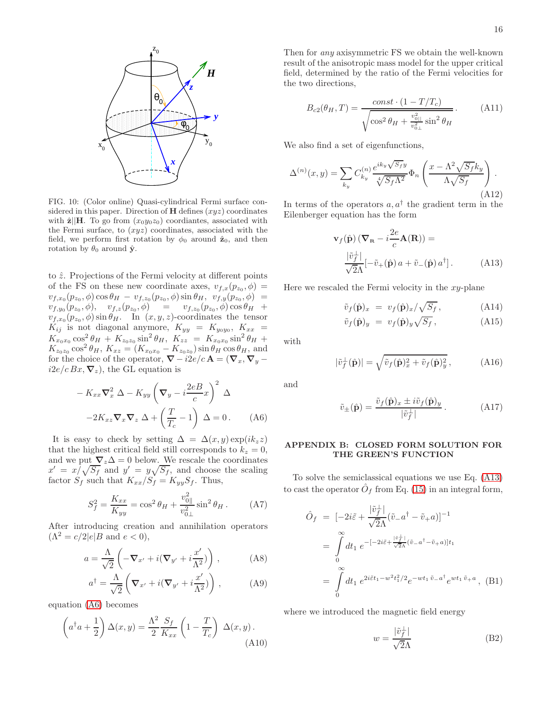

FIG. 10: (Color online) Quasi-cylindrical Fermi surface considered in this paper. Direction of  $H$  defines  $(xyz)$  coordinates with  $\hat{\mathbf{z}}\|\mathbf{H}$ . To go from  $(x_0y_0z_0)$  coordiantes, associated with the Fermi surface, to  $(xyz)$  coordinates, associated with the field, we perform first rotation by  $\phi_0$  around  $\hat{\mathbf{z}}_0$ , and then rotation by  $\theta_0$  around  $\hat{\mathbf{y}}$ .

to  $\hat{z}$ . Projections of the Fermi velocity at different points of the FS on these new coordinate axes,  $v_{f,x}(p_{z_0}, \phi) =$  $v_{f,x_0}(p_{z_0},\phi) \cos\theta_H - v_{f,z_0}(p_{z_0},\phi) \sin\theta_H,~~v_{f,y}(p_{z_0},\phi) =$  $v_{f,y_0}(p_{z_0},\phi), \quad v_{f,z}(p_{z_0},\phi) \quad = \quad v_{f,z_0}(p_{z_0},\phi) \cos \theta_H \; +$  $v_{f,x_0}(p_{z_0}, \phi) \sin \theta_H$ . In  $(x, y, z)$ -coordinates the tensor  $K_{ij}$  is not diagonal anymore,  $K_{yy} = K_{y_0y_0}$ ,  $K_{xx} =$  $K_{x_0x_0} \cos^2 \theta_H + K_{z_0z_0} \sin^2 \theta_H$ ,  $K_{zz} = K_{x_0x_0} \sin^2 \theta_H$  +  $K_{z_0z_0} \cos^2 \theta_H$ ,  $K_{xz} = (K_{x_0x_0} - K_{z_0z_0}) \sin \theta_H \cos \theta_H$ , and for the choice of the operator,  $\nabla - i2e/c \mathbf{A} = (\nabla_x, \nabla_y$  $i2e/c Bx, \nabla_z$ , the GL equation is

<span id="page-16-1"></span>
$$
-K_{xx}\nabla_x^2 \Delta - K_{yy}\left(\nabla_y - i\frac{2e}{c}x\right)^2 \Delta
$$

$$
-2K_{xz}\nabla_x \nabla_z \Delta + \left(\frac{T}{T_c} - 1\right) \Delta = 0. \quad (A6)
$$

It is easy to check by setting  $\Delta = \Delta(x, y) \exp(ik_z z)$ that the highest critical field still corresponds to  $k_z = 0$ , and we put  $\nabla_z \Delta = 0$  below. We rescale the coordinates  $x' = x/\sqrt{S_f}$  and  $y' = y\sqrt{S_f}$ , and choose the scaling factor  $S_f$  such that  $K_{xx}/S_f = K_{yy}S_f$ . Thus,

$$
S_f^2 = \frac{K_{xx}}{K_{yy}} = \cos^2 \theta_H + \frac{v_{0\parallel}^2}{v_{0\perp}^2} \sin^2 \theta_H.
$$
 (A7)

After introducing creation and annihilation operators  $(\Lambda^2 = c/2|e|B \text{ and } e < 0),$ 

$$
a = \frac{\Lambda}{\sqrt{2}} \left( -\nabla_{x'} + i(\nabla_{y'} + i\frac{x'}{\Lambda^2}) \right) , \qquad (A8)
$$

$$
a^{\dagger} = \frac{\Lambda}{\sqrt{2}} \left( \mathbf{\nabla}_{x'} + i(\mathbf{\nabla}_{y'} + i\frac{x'}{\Lambda^2}) \right) , \tag{A9}
$$

equation [\(A6\)](#page-16-1) becomes

$$
\left(a^{\dagger}a + \frac{1}{2}\right)\Delta(x,y) = \frac{\Lambda^2}{2}\frac{S_f}{K_{xx}}\left(1 - \frac{T}{T_c}\right)\Delta(x,y). \tag{A10}
$$

Then for any axisymmetric FS we obtain the well-known result of the anisotropic mass model for the upper critical field, determined by the ratio of the Fermi velocities for the two directions,

$$
B_{c2}(\theta_H, T) = \frac{\text{const} \cdot (1 - T/T_c)}{\sqrt{\cos^2 \theta_H + \frac{v_{0\parallel}^2}{v_{0\perp}^2} \sin^2 \theta_H}}.
$$
 (A11)

We also find a set of eigenfunctions,

<span id="page-16-3"></span>
$$
\Delta^{(n)}(x,y) = \sum_{k_y} C_{k_y}^{(n)} \frac{e^{ik_y \sqrt{S_f}y}}{\sqrt[4]{S_f \Lambda^2}} \Phi_n \left( \frac{x - \Lambda^2 \sqrt{S_f} k_y}{\Lambda \sqrt{S_f}} \right).
$$
\n(A12)

In terms of the operators  $a, a^{\dagger}$  the gradient term in the Eilenberger equation has the form

<span id="page-16-2"></span>
$$
\mathbf{v}_f(\hat{\mathbf{p}}) (\nabla_{\mathbf{R}} - i \frac{2e}{c} \mathbf{A}(\mathbf{R})) =
$$

$$
\frac{|\tilde{v}_f|}{\sqrt{2\Lambda}} [-\tilde{v}_+(\hat{\mathbf{p}}) a + \tilde{v}_-(\hat{\mathbf{p}}) a^\dagger].
$$
 (A13)

Here we rescaled the Fermi velocity in the  $xy$ -plane

$$
\tilde{v}_f(\hat{\mathbf{p}})_x = v_f(\hat{\mathbf{p}})_x / \sqrt{S_f},
$$
\n(A14)\n
$$
\tilde{v}_f(\hat{\mathbf{p}})_x = v_f(\hat{\mathbf{p}})_x / \sqrt{S_f},
$$
\n(A15)

$$
\tilde{v}_f(\hat{\mathbf{p}})_y = v_f(\hat{\mathbf{p}})_y \sqrt{S_f}, \qquad (A15)
$$

with

$$
|\tilde{v}_f(\hat{\mathbf{p}})| = \sqrt{\tilde{v}_f(\hat{\mathbf{p}})_x^2 + \tilde{v}_f(\hat{\mathbf{p}})_y^2},
$$
 (A16)

and

$$
\tilde{v}_{\pm}(\hat{\mathbf{p}}) = \frac{\tilde{v}_f(\hat{\mathbf{p}})_x \pm i\tilde{v}_f(\hat{\mathbf{p}})_y}{|\tilde{v}_f^{\perp}|}.
$$
\n(A17)

# <span id="page-16-0"></span>APPENDIX B: CLOSED FORM SOLUTION FOR THE GREEN'S FUNCTION

To solve the semiclassical equations we use Eq. [\(A13\)](#page-16-2) to cast the operator  $\hat{O}_f$  from Eq. [\(15\)](#page-5-3) in an integral form,

$$
\hat{O}_f = [-2i\tilde{\varepsilon} + \frac{|\tilde{v}_f^{\perp}|}{\sqrt{2}\Lambda} (\tilde{v}_a - a^\dagger - \tilde{v}_a)]^{-1}
$$
\n
$$
= \int_0^\infty dt_1 \, e^{-[-2i\tilde{\varepsilon} + \frac{|\tilde{v}_f^{\perp}|}{\sqrt{2}\Lambda} (\tilde{v}_a - a^\dagger - \tilde{v}_a)]t_1}
$$
\n
$$
= \int_0^\infty dt_1 \, e^{2i\tilde{\varepsilon}t_1 - w^2 t_1^2/2} e^{-wt_1 \tilde{v}_a} e^{wt_1 \tilde{v}_a} , \text{ (B1)}
$$

where we introduced the magnetic field energy

$$
w = \frac{|\tilde{v}_f^{\perp}|}{\sqrt{2}\Lambda} \tag{B2}
$$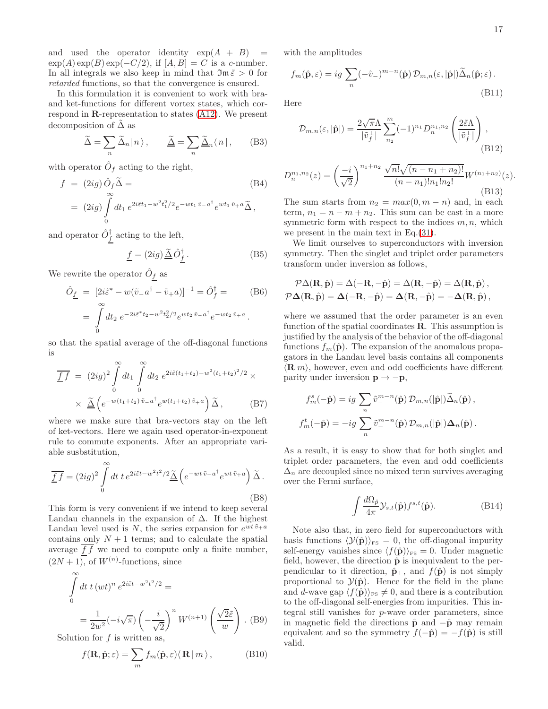and used the operator identity  $\exp(A + B)$  =  $\exp(A)\exp(B)\exp(-C/2)$ , if  $[A, B] = C$  is a c-number. In all integrals we also keep in mind that  $\mathfrak{Im} \tilde{\varepsilon} > 0$  for retarded functions, so that the convergence is ensured.

In this formulation it is convenient to work with braand ket-functions for different vortex states, which correspond in R-representation to states [\(A12\)](#page-16-3). We present decomposition of  $\tilde{\Delta}$  as

$$
\widetilde{\Delta} = \sum_{n} \widetilde{\Delta}_n |n\rangle, \qquad \widetilde{\underline{\Delta}} = \sum_{n} \widetilde{\underline{\Delta}}_n \langle n |,
$$
 (B3)

with operator  $\hat{O}_f$  acting to the right,

$$
f = (2ig) \hat{O}_f \widetilde{\Delta} =
$$
\n
$$
= (2ig) \int_0^\infty dt_1 e^{2i\tilde{\varepsilon}t_1 - w^2 t_1^2/2} e^{-wt_1 \tilde{v}_- a^\dagger} e^{wt_1 \tilde{v}_+ a} \widetilde{\Delta},
$$
\n(B4)

and operator  $\hat{O}_f^{\dagger}$  acting to the left,

$$
\underline{f} = (2ig) \underline{\tilde{\Delta}} \hat{O}^{\dagger}_{\underline{f}}.
$$
 (B5)

We rewrite the operator  $\hat{O}_f$  as

$$
\hat{O}_{\underline{f}} = [2i\tilde{\varepsilon}^* - w(\tilde{v}_-a^\dagger - \tilde{v}_+a)]^{-1} = \hat{O}_{f}^\dagger = (B6)
$$
  
= 
$$
\int_0^\infty dt_2 e^{-2i\tilde{\varepsilon}^*t_2 - w^2t_2^2/2}e^{wt_2\tilde{v}_-a^\dagger}e^{-wt_2\tilde{v}_+a}.
$$

so that the spatial average of the off-diagonal functions is

$$
\overline{\underline{f}\,f} = (2ig)^2 \int_0^\infty dt_1 \int_0^\infty dt_2 e^{2i\tilde{\varepsilon}(t_1 + t_2) - w^2(t_1 + t_2)^2/2} \times \times \underline{\tilde{\Delta}} \left( e^{-w(t_1 + t_2)\tilde{v}_- a^{\dagger}} e^{w(t_1 + t_2)\tilde{v}_+ a} \right) \tilde{\Delta}, \quad (B7)
$$

where we make sure that bra-vectors stay on the left of ket-vectors. Here we again used operator-in-exponent rule to commute exponents. After an appropriate variable susbstitution,

$$
\overline{\underline{f}\,f} = (2ig)^2 \int\limits_0^\infty dt \; t \, e^{2i\tilde{\varepsilon}t - w^2 t^2/2} \widetilde{\underline{\Delta}} \left( e^{-wt \tilde{v}_- a^\dagger} e^{wt \tilde{v}_+ a} \right) \widetilde{\Delta} \,. \tag{B8}
$$

This form is very convenient if we intend to keep several Landau channels in the expansion of  $\Delta$ . If the highest Landau level used is N, the series expansion for  $e^{wt\tilde{v}_+a}$ contains only  $N + 1$  terms; and to calculate the spatial average  $f f$  we need to compute only a finite number,  $(2N+1)$ , of  $W^{(n)}$ -functions, since

$$
\int_{0}^{\infty} dt \ t \left(wt\right)^{n} e^{2i\tilde{\varepsilon}t - w^{2}t^{2}/2} =
$$
\n
$$
= \frac{1}{2w^{2}} \left(-i\sqrt{\pi}\right) \left(-\frac{i}{\sqrt{2}}\right)^{n} W^{(n+1)}\left(\frac{\sqrt{2}\tilde{\varepsilon}}{w}\right). \text{ (B9)}
$$
\nlution for  $f$  is written as

Solution for  $f$  is written as,

$$
f(\mathbf{R}, \hat{\mathbf{p}}; \varepsilon) = \sum_{m} f_m(\hat{\mathbf{p}}, \varepsilon) \langle \mathbf{R} | m \rangle, \tag{B10}
$$

with the amplitudes

$$
f_m(\hat{\mathbf{p}}, \varepsilon) = ig \sum_n (-\tilde{v}_-)^{m-n}(\hat{\mathbf{p}}) \mathcal{D}_{m,n}(\varepsilon, |\hat{\mathbf{p}}|) \tilde{\Delta}_n(\hat{\mathbf{p}}; \varepsilon).
$$
\n(B11)

Here

$$
\mathcal{D}_{m,n}(\varepsilon, |\hat{\mathbf{p}}|) = \frac{2\sqrt{\pi}\Lambda}{|\tilde{v}_f^{\perp}|} \sum_{n_2}^{m} (-1)^{n_1} D_n^{n_1, n_2} \left(\frac{2\tilde{\varepsilon}\Lambda}{|\tilde{v}_f^{\perp}|}\right),\tag{B12}
$$

$$
D_n^{n_1, n_2}(z) = \left(\frac{-i}{\sqrt{2}}\right)^{n_1 + n_2} \frac{\sqrt{n!} \sqrt{(n - n_1 + n_2)!}}{(n - n_1)! n_1! n_2!} W^{(n_1 + n_2)}(z).
$$
\n(B13)

The sum starts from  $n_2 = max(0, m - n)$  and, in each term,  $n_1 = n - m + n_2$ . This sum can be cast in a more symmetric form with respect to the indices  $m, n$ , which we present in the main text in Eq.[\(31\)](#page-7-3).

We limit ourselves to superconductors with inversion symmetry. Then the singlet and triplet order parameters transform under inversion as follows,

$$
\mathcal{P}\Delta(\mathbf{R}, \hat{\mathbf{p}}) = \Delta(-\mathbf{R}, -\hat{\mathbf{p}}) = \Delta(\mathbf{R}, -\hat{\mathbf{p}}) = \Delta(\mathbf{R}, \hat{\mathbf{p}}),
$$
  

$$
\mathcal{P}\Delta(\mathbf{R}, \hat{\mathbf{p}}) = \Delta(-\mathbf{R}, -\hat{\mathbf{p}}) = \Delta(\mathbf{R}, -\hat{\mathbf{p}}) = -\Delta(\mathbf{R}, \hat{\mathbf{p}}),
$$

where we assumed that the order parameter is an even function of the spatial coordinates  $\bf R$ . This assumption is justified by the analysis of the behavior of the off-diagonal functions  $f_m(\hat{\mathbf{p}})$ . The expansion of the anomalous propagators in the Landau level basis contains all components  $\langle \mathbf{R}|m \rangle$ , however, even and odd coefficients have different parity under inversion  $\mathbf{p} \rightarrow -\mathbf{p}$ ,

$$
f_m^s(-\hat{\mathbf{p}}) = ig \sum_n \tilde{v}_-^{m-n}(\hat{\mathbf{p}}) \mathcal{D}_{m,n}(|\hat{\mathbf{p}}|) \tilde{\Delta}_n(\hat{\mathbf{p}}),
$$
  

$$
f_m^t(-\hat{\mathbf{p}}) = -ig \sum_n \tilde{v}_-^{m-n}(\hat{\mathbf{p}}) \mathcal{D}_{m,n}(|\hat{\mathbf{p}}|) \Delta_n(\hat{\mathbf{p}}).
$$

As a result, it is easy to show that for both singlet and triplet order parameters, the even and odd coefficients  $\Delta_n$  are decoupled since no mixed term survives averaging over the Fermi surface,

$$
\int \frac{d\Omega_{\hat{p}}}{4\pi} \mathcal{Y}_{s,t}(\hat{\mathbf{p}}) f^{s,t}(\hat{\mathbf{p}}).
$$
 (B14)

Note also that, in zero field for superconductors with basis functions  $\langle \mathcal{Y}(\hat{\mathbf{p}}) \rangle_{\text{FS}} = 0$ , the off-diagonal impurity self-energy vanishes since  $\langle f(\hat{\mathbf{p}})\rangle_{\text{FS}} = 0$ . Under magnetic field, however, the direction  $\hat{\mathbf{p}}$  is inequivalent to the perpendicular to it direction,  $\hat{\mathbf{p}}_{\perp}$ , and  $f(\hat{\mathbf{p}})$  is not simply proportional to  $\mathcal{Y}(\hat{\mathbf{p}})$ . Hence for the field in the plane and d-wave gap  $\langle f(\hat{\mathbf{p}})\rangle_{\text{FS}} \neq 0$ , and there is a contribution to the off-diagonal self-energies from impurities. This integral still vanishes for p-wave order parameters, since in magnetic field the directions  $\hat{\mathbf{p}}$  and  $-\hat{\mathbf{p}}$  may remain equivalent and so the symmetry  $f(-\hat{\mathbf{p}}) = -f(\hat{\mathbf{p}})$  is still valid.